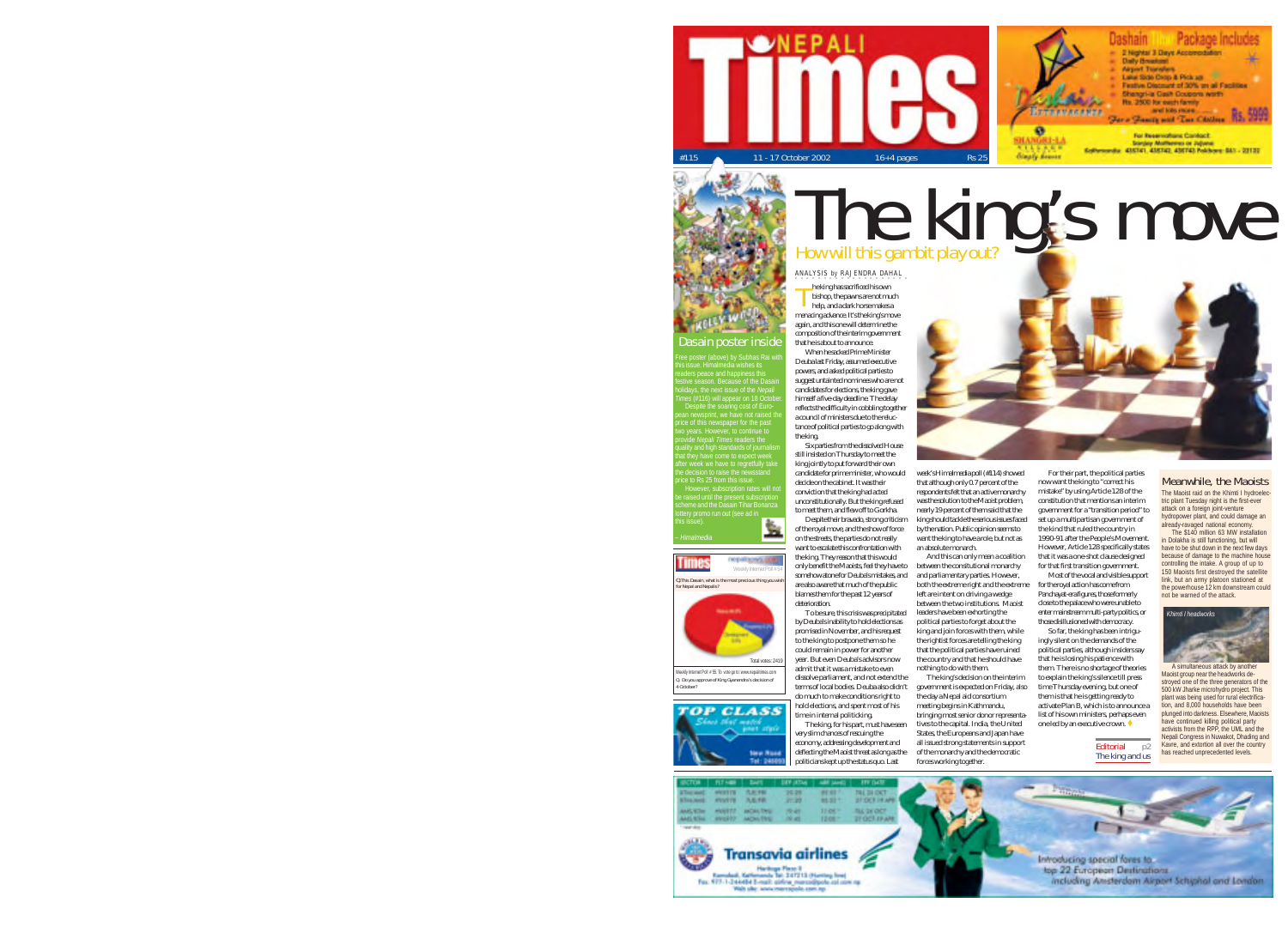

# Dasain poster inside

this issue. Himalmedia wishes its festive season. Because of the Dasain holidays, the next issue of the *Nepali* two years. However, to continue to provide *Nepali Times* readers the quality and high standards of journalism

after week we have to regretfully take the decision to raise the newsstand However, subscription rates will not scheme and the Dasain Tihar Bonanza

藍 *– Himalmedia* This Dasain, what is the most for Nepal and Nepalis?



Q. Do you approve of King Gyanendra's decision of 4 October? Welly Internet Poll # 55. To vote go to: www.nepaliti



#### he king has sacrificed his own bishop, the pawns are not much help, and a dark horse makes a T ANALYSIS by RAJENDRA DAHAL

menacing advance. It's the king's move again, and this one will determine the composition of the interim government that he is about to announce. When he sacked Prime Minister

Deuba last Friday, assumed executive powers, and asked political parties to suggest untainted nominees who are not candidates for elections, the king gave himself a five-day deadline. The delay reflects the difficulty in cobbling together a council of ministers due to the reluctance of political parties to go along with the king.

Six parties from the dissolved House still insisted on Thursday to meet the king jointly to put forward their own candidate for prime minister, who would decide on the cabinet. It was their conviction that the king had acted unconstitutionally. But the king refused

to meet them, and flew off to Gorkha. Despite their bravado, strong criticism of the royal move, and the show of force on the streets, the parties do not really want to escalate this confrontation with the king. They reason that this would only benefit the Maoists, feel they have to somehow atone for Deuba's mistakes, and are also aware that much of the public blames them for the past 12 years of deterioration. an absolute monarch.

To be sure, this crisis was precipitated by Deuba's inability to hold elections as promised in November, and his request to the king to postpone them so he could remain in power for another year. But even Deuba's advisors now admit that it was a mistake to even dissolve parliament, and not extend the terms of local bodies. Deuba also didn't

do much to make conditions right to hold elections, and spent most of his time in internal politicking. The king, for his part, must have seen very slim chances of rescuing the economy, addressing development and deflecting the Maoist threat as long as the politicians kept up the status quo. Last forces working together.



that although only 0.7 percent of the respondents felt that an active monarchy was the solution to the Maoist problem. nearly 19 percent of them said that the king should tackle the serious issues faced by the nation. Public opinion seems to want the king to have a role, but not as And this can only mean a coalition between the consitutional monarchy and parliamentary parties. However, both the extreme right and the extreme now want the king to "correct his mistake" by using Article 128 of the constitution that mentions an interim government for a "transition period" to set up a multipartisan government of the kind that ruled the country in 1990-91 after the People's Movement. However, Article 128 specifically states that it was a one-shot clause designed for that first transition government. Most of the vocal and visible support for the royal action has come from

The king's move

left are intent on driving a wedge between the two institutions. Maoist leaders have been exhorting the political parties to forget about the king and join forces with them, while the rightist forces are telling the king that the political parties have ruined the country and that he should have nothing to do with them. The king's decision on the interim government is expected on Friday, also Panchayat-era figures, those formerly close to the palace who were unable to enter mainstream multi-party politics, or those disillusioned with democracy. So far, the king has been intriguingly silent on the demands of the political parties, although insiders say that he is losing his patience with them. There is no shortage of theories to explain the king's silence till press time Thursday evening, but one of

the day a Nepal aid consortium meeting begins in Kathmandu, bringing most senior donor representatives to the capital. India, the United States, the Europeans and Japan have all issued strong statements in support of the monarchy and the democratic them is that he is getting ready to activate Plan B, which is to announce a list of his own ministers, perhaps even one led by an executive crown. ♦

Meanwhile, the Maoists The Maoist raid on the Khimti I hydroelectric plant Tuesday night is the first-ever attack on a foreign joint-venture hydropower plant, and could damage an already-ravaged national economy. The \$140 million 63 MW installation in Dolakha is still functioning, but will have to be shut down in the next few days because of damage to the machine house controlling the intake. A group of up to 150 Maoists first destroyed the satellite link, but an army platoon stationed at the powerhouse 12 km downstream could not be warned of the attack.



A simultaneous attack by another Maoist group near the headworks destroyed one of the three generators of the 500 kW Jharke microhydro project. This plant was being used for rural electrification, and 8,000 households have been plunged into darkness. Elsewhere, Maoists have continued killing political party activists from the RPP, the UML and the Nepali Congress in Nuwakot, Dhading and Kavre, and extortion all over the country has reached unprecedente

Editorial p<sub>2</sub><br>The king and us

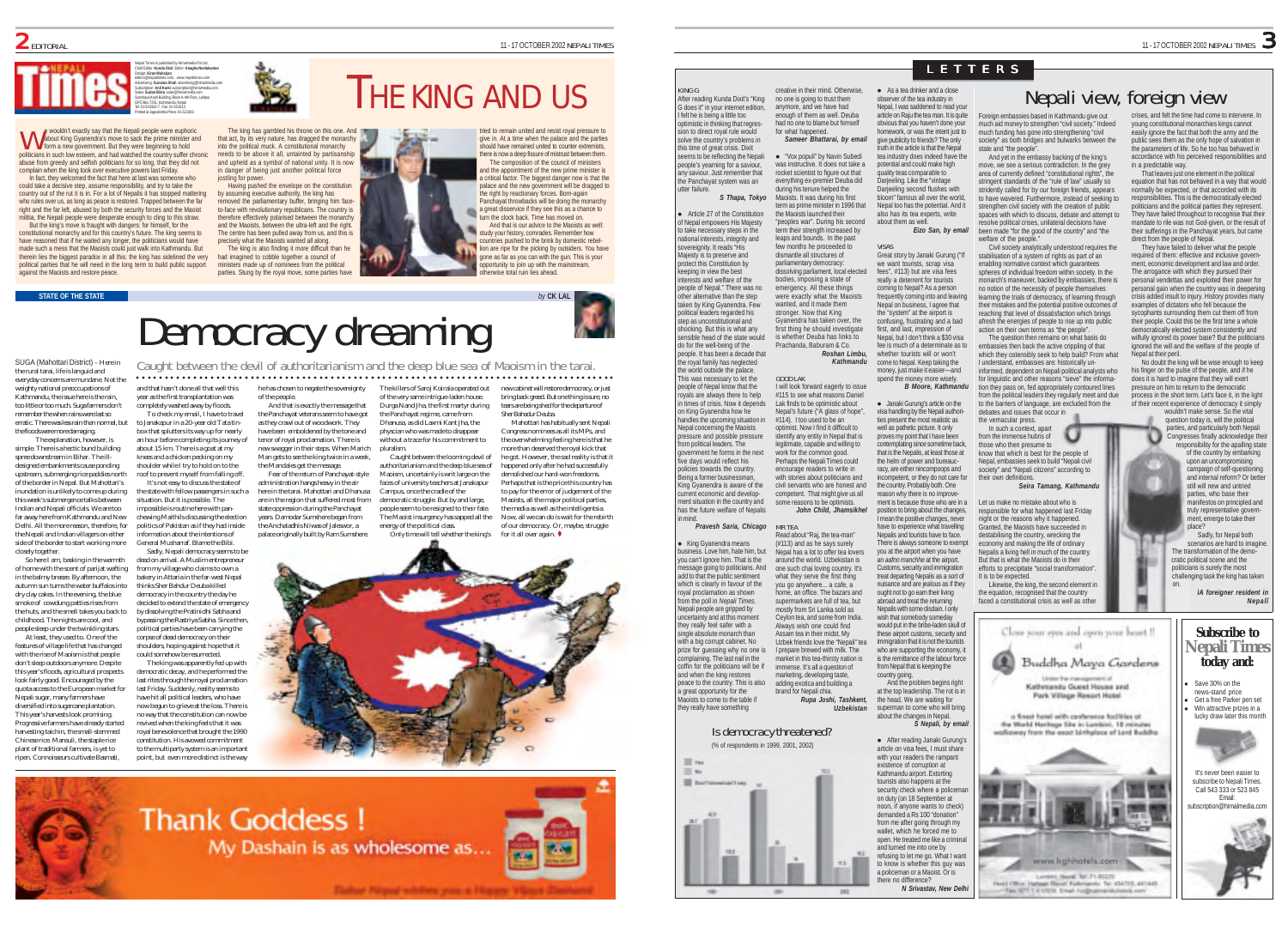#### Nepali Times is published by Himalmedia Pvt Ltd, Chief Editor: **Kunda Dixit** Editor: **Anagha Neelakantan** Design: **Kiran Maharjan** editors@nepalitimes.com, www.nepalitimes.com Advertising: **Sunaina Shah** advertising@himalmedia.com Subscription: **Anil Karki** subscription@himalmedia.com Sales: **Sudan Bista** sales@himalmedia.com Sanchaya Kosh Building, Block A-4th Floor, Lalitpur GPO Box 7251, Kathmandu, Nepal Tel: 01-543333-7, Fax: 01-521013 Printed at Jagadamba Press: 01-521393

e wouldn't exactly say that the Nepali people were euphoric about King Gyanendra's move to sack the prime minister and e wouldn't exactly say that the Nepali people were euphor about King Gyanendra's move to sack the prime minister form a new government. But they were beginning to hold politicians in such low esteem, and had watched the country suffer chronic abuse from greedy and selfish politicians for so long, that they did not complain when the king took over executive powers last Friday.

In fact, they welcomed the fact that here at last was someone who could take a decisive step, assume responsibility, and try to take the country out of the rut it is in. For a lot of Nepalis it has stopped matte who rules over us, as long as peace is restored. Trapped between the faright and the far left, abused by both the security forces and the Maoist militia, the Nepali people were desperate enough to cling to this straw. But the king's move is fraught with dangers: for himself, for the

constitutional monarchy and for this country's future. The king seems to have reasoned that if he waited any longer, the politicians would have made such a mess that the Maoists could just walk into Kathmandu. But therein lies the biggest paradox in all this: the king has sidelined the very political parties that he will need in the long term to build public support against the Maoists and restore peace.

in danger of being just another political force jostling for power

precisely what the Maoists wanted all along. ministers made up of nominees from the political

The king has gambled his throne on this one. And that act, by its very nature, has dragged the monarchy

Having pushed the envelope on the constitution therefore effectively polarised between the monarchy and the Maoists, between the ultra-left and the right. The centre has been pulled away from us, and this is The king is also finding it more difficult than he had imagined to cobble together a council of

by assuming executive authority, the king has removed the parliamentary buffer, bringing him faceto-face with revolutionary republicans. The country is

into the political muck. A constitutional monarchy needs to be above it all, untainted by partisanship and upheld as a symbol of national unity. It is now

11)

parties. Stung by the royal move, some parties have

# THE KING AND US

tried to remain united and resist royal pressure to give in. At a time when the palace and the parties should have remained united to counter extremists. here is now a deep fissure of mistrust between them The composition of the council of ministers and the appointment of the new prime minister is critical factor. The biggest danger now is that the palace and the new government will be dragged to the right by reactionary forces. Born-again Panchayat throwbacks will be doing the monarchy a great disservice if they see this as a chance to turn the clock back. Time has moved on. And that is our advice to the Maoists as well: study your history, comrades. Remember how countries pushed to the brink by domestic rebellion are ripe for the picking by outsiders. You have gone as far as you can with the gun. This is your ortunity to join up with the mainstream. otherwise total ruin lies ahead.



SUGA (Mahottari District) – Here in the rural tarai, life is languid and everyday concerns are mundane. Not the Caught between the devil of authoritarianism and the deep blue sea of Maoism in the tarai. ○○○○○○○○○○○○○○○○○○○○○○○○○○○○○○○○○○○○○○○○○○○○○○○○○○○○ ○○○○○○○○○○○○○○○○○○○○○○○○○○○○○○○○

weighty national preoccupations of Kathmandu, the issue here is the rain, too little or too much. Suga farmers don't remember the when rains were last so erratic. There was less rain than normal, but the floods were more damaging. completely washed away by floods. to Janakapur in a 20-year old Tata tin-

The explanation, however, is simple. There is a hectic bund building spree downstream in Bihar. The illdesigned embankments cause ponding upstream, submerging rice paddies north box that splutters its way up for nearly an hour before completing its journey of about 15 km. There is a goat at my knees and a chicken pecking on my shoulder while I try to hold on to the roof to prevent myself from falling off. It's not easy to discuss the state of

of the border in Nepal. But Mahottari's inundation is unlikely to come up during this week's submergence talks between Indian and Nepali officials. We are too far away here from Kathmandu and New Delhi. All the more reason, therefore, for the Nepali and Indian villagers on either side of the border to start working more closely together.

So here I am, basking in the warmth of home with the scent of parijat wafting in the balmy breeze. By afternoon, the autumn sun turns the water buffalos into dry clay cakes. In the evening, the blue smoke of cowdung patties rises from the huts, and the smell takes you back to childhood. The nights are cool, and people sleep under the twinkling stars. dead on arrival. A Muslim entrepreneur from my village who claims to own a bakery in Attaria in the far-west Nepal thinks Sher Bahdur Deuba killed democracy in the country the day he decided to extend the state of emergency

At least, they used to. One of the features of village life that has changed with the rise of Maoism is that neople

don't sleep outdoors anymore. Despite this year's floods, agricultural prospects look fairly good. Encouraged by the quota access to the European market for .<br>Nepali sugar, many farmers have diversified into sugarcane plantation. This year's harvests look promising. Progressive farmers have already started harvesting taichin, the small-stemmed Chinese rice. Mansuli, the staple rice. plant of traditional farmers, is yet to ripen. Connoisseurs cultivate Basmati,

by dissolving the Pratinidhi Sabha and bypassing the Rastriya Sabha. Since then, political parties have been carrying the corpse of dead democracy on their shoulders, hoping against hope that it could somehow be resurrected. The king was apparently fed up with democratic decay, and he performed the last rites through the royal proclamation last Friday. Suddenly, reality seems to have hit all political leaders, who have now begun to grieve at the loss. There is no way that the constitution can now be

situation. But it is possible. The impossible is routine here with pan-

information about the intentions of General Musharraf. Blame the Bibi. Sadly, Nepali democracy seems to be

revived when the king feels that it was royal benevolence that brought the 1990 constitution. His avowed commitment to the multiparty system is an important point, but even more distinct is the way

and that hasn't done all that well this year as the first transplantation was he has chosen to negate the sovereignty of the people.

To check my email, I have to travel And that is exactly the message that the Panchayat veterans seem to have got as they crawl out of woodwork. They have been emboldened by the tone and tenor of royal proclamation. There is new swagger in their steps. When Marich Man gets to see the king twice in a week,

the state with fellow passengers in such a chewing Maithils discussing the election politics of Pakistan as if they had inside the Mandales get the message. Fear of the return of Panchayat-style administration hangs heavy in the air here in the tarai. Mahottari and Dhanusa are in the region that suffered most from state oppression during the Panchayat years. Damodar Sumshere began from the Anchaladhis Niwas of Jaleswor, a

palace originally built by Ram Sumshere.

The killers of Saroj Koirala operated out of the very same intrigue-laden house. Durga Nand Jha, the first martyr during the Panchayat regime, came from Dhanusa, as did Laxmi Kant Jha, the physcian who was made to disappear

without a trace for his commitment to pluralism. Caught between the looming devil of authoritarianism and the deep blue sea of Maoism, uncertainly is writ large on the faces of university teachers at Janakapur Campus, once the cradle of the nocratic struggle. But by and large people seem to be resigned to their fate. The Maoist insurgency has sapped all the energy of the political class.

Perhaps that is the price this country has to pay for the error of judgement of the Maoists, all the major political parties, the media as well as the intelligentsia. Now, all we can do is wait for the rebirth

new cabinet will restore democracy, or just bring back greed. But one thing is sure, no tears are being shed for the departure of Sher Bahadur Deuba. Mahottari has habitually sent Nepali Congress nominees as all its MPs, and the overwhelming feeling here is that he more than deserved the royal kick that he got. However, the sad reality is that it happened only after he had successfully demolished our hard-won freedoms.





# LETTERS

After reading Kunda Dixit's "King G does it" in your internet edition, **Article 27 of the Constitution** of Nepal empowers His Majesty to take necessary steps in the national interests, integrity and sovereignity. It reads "His Majesty is to presence and creative in their mind. Otherwise, no one is going to trust them anymore, and we have had enough of them as well. Deuba for what hannened. during his tenure helped the the Maoists launched their "peoples war". During his second term their strength increased by leaps and bounds. In the past few months he proceeded to dismantle all structures of

people of Nepal." There was no other alternative than the step taken by King Gyanendra. Few political leaders regarded his shocking. But this is what any sensible head of the state would people. It has been a decade that the royal family has neglected This was necessary to let the people of Nepal know that the royals are always there to help in times of crisis. Now it depend: handles the upcoming situation Nepal concerning the Maoists parliamentary democracy: dissolving parliament, local elected bodies, imposing a state of emergency. All these things were exactly what the Maoists wanted, and it made them stronger. Now that King Gyanendra has taken over, the first thing he should investigate is whether Deuba has links to Prachanda, Baburam & Co. *Roshan Limbu, Kathmandu* GOOD LAK I will look forward eagerly to issue #115 to see what reasons Daniel Lak finds to be optimistic about Nepal's future ("A glass of hope", #114). I too used to be an optimist. Now I find it difficult to identify any entity in Nepal that is

pressure and possible pressure from political leaders. The emment he forms in the next five days would reflect his policies towards the country. Being a former businessman, King Gyanendra is aware of the current economic and development situation in the country and has the future welfare of Nepalis legitimate, capable and willing to work for the common good. Perhaps the Nepali Times could encourage readers to write in with stories about politicians and civil servants who are honest and competent. That might give us all some reasons to be optimi *John Child, Jhamsikhel*

*Pravesh Saria, Chicago* MR TEA

.<br>King Gyanendra means business. Love him, hate him, but you can't ignore him. That is the message going to politicians. And add to that the public sentiment which is clearly in favour of the<br>roval proclamation as shown ration as shown from the poll in *Nepali Times*. Nepali people are gripped by uncertainty and at this moment they really feel safer with a single absolute monarch than with a big corrupt cabinet. No prize for guessing why no one is complaining. The last nail in the coffin for the politicians will be if and when the king restores peace to the country. This is also a great opportunity for the Maoists to come to the table if they really have something Read about "Raj, the tea-man" (#113) and as he says surely Nepal has a lot to offer tea lover around the world. Uzbekistan is one such chai loving country. It's what they serve the first thing you go anywhere... a cafe, a home, an office. The bazars and supermarkets are full of tea, but mostly from Sri Lanka sold as Ceylon tea, and some from India. Always wish one could find Assam tea in their midst. My Uzbek friends love the "Nepali" tea I prepare brewed with milk. The market in this tea-thirsty nation is immense. It's all a question of marketing, developing taste, adding exotica and building a brand for Nepali chia. *Rupa Joshi, Tashkent,*

# Is democracy threatened?

(% of respondents in 1999, 2001, 2002)



 $\bullet$  As a tea drinker and a close observer of the tea industry in Nepal, I was saddened to read your article on Raju the tea man. It is quite obvious that you haven't done your homework, or was the intent just to give publicity to friends? The only truth in the article is that the Nepal tea industry does indeed have the potential and could make high quality teas comparable to Darjeeling. Like the "vintage Darjeeling second flushes with

> Nepal too has the potential. And it also has its tea experts, write about them as well. *Eizo San, by email*

VISAS Great story by Janaki Gurung ("If we want tourists, scrap visa fees", #113) but are visa fees really a deterrent for tourists coming to Nepal? As a person frequently coming into and leaving Nepal on business, I agree that the "system" at the airport is confusing, frustrating and a bad first, and last, impression of Nepal, but I don't think a \$30 visa fee is much of a determinate as to whether tourists will or won't come to Nepal. Keep taking the money, just make it easier—and spend the money more wisely.

*B Moore, Kathmandu*  $\bullet$  Janaki Gurung's article on the visa handling by the Nepali authorities present the most realistic as well as pathetic picture. It only proves my point that I have been contemplating since sometime back, that is the Nepalis, at least those at the helm of power and bureaucracy, are either nincompoops and incompetent, or they do not care for the country. Probably both. One reason why there is no improvement is because those who are in a position to bring about the changes, I mean the positive changes, never have to experience what travelling Nepalis and tourists have to face. There is always someone to exempt you at the airport when you have an *aafno manchhe* at the airport. Customs, security and immigration treat departing Nepalis as a sort of nuisance and are jealous as if they ought not to go earn their living abroad and treat the returning

Nepalis with some disdain. I only wish that somebody someday would put in the bribe-laden skull of these airport customs, security and immigration that it is not the tourists who are supporting the economy, it is the remittance of the labour force from Nepal that is keeping the country going.

at the top leadership. The rot is in the head. We are waiting for superman to come who will bring about the changes in Nepal. *S Nepali, by email*

*Uzbekistan*

 $186$ 

 $\bullet$  After reading Janaki Gurung's article on visa fees, I must share with your readers the rampant existence of corruption at Kathmandu airport. Extorting tourists also happens at the security check where a police on duty (on 18 September at noon, if anyone wants to check) demanded a Rs 100 "donation from me after going through my wallet, which he forced me to open. He treated me like a criminal and turned me into one by refusing to let me go. What I want to know is whether this guy was a policeman or a Maoist. Or is there no difference?

Foreign embassies based in much aid money to strengthen "civil society." Indeed much funding has gone into strengthening "civil society" as both bridges and bulwarks between the state and "the people". And yet in the embassy backing of the king's move, we see a serious contradiction. In the grey

area of currently defined "constitutional rights", the stringent standards of the "rule of law" usually so stridently called for by our foreign friends, appears to have wavered. Furthermore, instead of seeking to strengthen civil society with the creation of public spaces with which to discuss, debate and attempt to resolve political crises, unilateral decisions have been made "for the good of the country" and "the om" famous all over the world.

welfare of the people." Civil society analytically understood requires the stabilisation of a system of rights as part of an enabling normative context which guarantees spheres of individual freedom within society. In the monarch's maneuver, backed by embassies, there is no notion of the necessity of people themselves learning the trials of democracy, of learning through their mistakes and the potential positive outcomes of reaching that level of dissatisfaction which brings afresh the energies of people to rise up into public action on their own terms as "the people". The question then remains on what basis do embassies then back the active crippling of that which they ostensibly seek to help build? From what

I understand, embassies are: historically uninformed, dependent on Nepali political analysts who for linguistic and other reasons "sieve" the information they pass on, fed appropriately contoured lines from the political leaders they regularly meet and due to the barriers of language, are excluded from the debates and issues that occur in the vernacular press.

In such a context, apart from the immense hubris of those who then presume to know that which is best for the people of Nepal, embassies seek to build "Nepali civil society" and "Nepali citizens" according to their own definitions.

#### *Seira Tamang, Kathmandu*

Let us make no mistake about who is responsible for what happened last Friday night or the reasons why it happened. Granted, the Maoists have succeeded in destabilising the country, wrecking the economy and making the life of ordinary Nepalis a living hell in much of the country. But that is what the Maoists do in their efforts to precipitate "social transformation". It is to be expected. Likewise, the king, the second element in

the equation, recognised that the country faced a constitutional crisis as well as other

> Buddha Maya Gardens Kathenanda Guest House and Park Village Resort Hotel a finest hotel with conference facilities of the Morld Haritage Site in Lumbini, 10 minute unlimeny from the exort birthplace of Lord Buddhe

> > www.kghhotels.com Lordert Need, Tel 71,80220 sair Hanaf Kalerianski Tal 434705, 441449.

Tax STFLE1038, Enal Hillburnaviki

Close your eyes and coven your beart !!

And the problem begins right

*N Srivastav, New Delhi*

Nepali view, foreign view crises, and felt the time had come to intervene. In young constitutional monarchies kings cannot easily ignore the fact that both the army and the public sees them as the only hope of salvation in the parameters of life. So he too has behaved in

accordance with his perceived responsibilities and in a predictable way. That leaves just one element in the political equation that has not behaved in a way that would normally be expected, or that accorded with its responsibilities. This is the democratically elected politicians and the political parties they represent. They have failed throughout to recognise that their mandate to rile was not God-given, or the result of

their sufferings in the Panchayat years, but came direct from the people of Nepal. They have failed to deliver what the people required of them: effective and inclusive government, economic development and law and order. The arrogance with which they pursued their

personal vendettas and exploited their power for personal gain when the country was in deepening crisis added insult to injury. History provides many examples of dictators who fell because the sycophants surrounding them cut them off from their people. Could this be the first time a whole democratically elected system consistently and wilfully ignored its nower base? But the politician ignored the will and the welfare of the people of

Nepal at their peril. No doubt the king will be wise enough to keep his finger on the pulse of the people, and if he does it is hard to imagine that they will exert pressure on him to return to the democratic process in the short term. Let's face it, in the light

of their recent experience of democracy it simply wouldn't make sense. So the vital question today is, will the political parties, and particularly both Nepali

> Congresses finally acknowledge their responsibility for the apalling state of the country by embarking upon an uncompromising campaign of self-questioning and internal reform? Or bette still will new and untried

parties, who base their manifestos on principled and truly representative government, emerge to take their place?

Sadly, for Nepal both scenarios are hard to imagin The transformation of the democratic political scene and the politicians is surely the most challenging task the king has taken

on. *iA foreigner resident in Nepalî* **Subscribe to Nepali Times today and:**



It's never been easier to subscribe to Nepali Times. Call 543 333 or 523 845 Email:



Only time will tell whether the king's of our democracy. Or, maybe, struggle for it all over again.  $\blacklozenge$ 

KING G

utter failure.

protect this Constitution by keeping in view the best interests and welfare of the

step as unconstitutional and

do for the well-being of the

the world outside the palace.

on King Gyanendra how he

in mind.

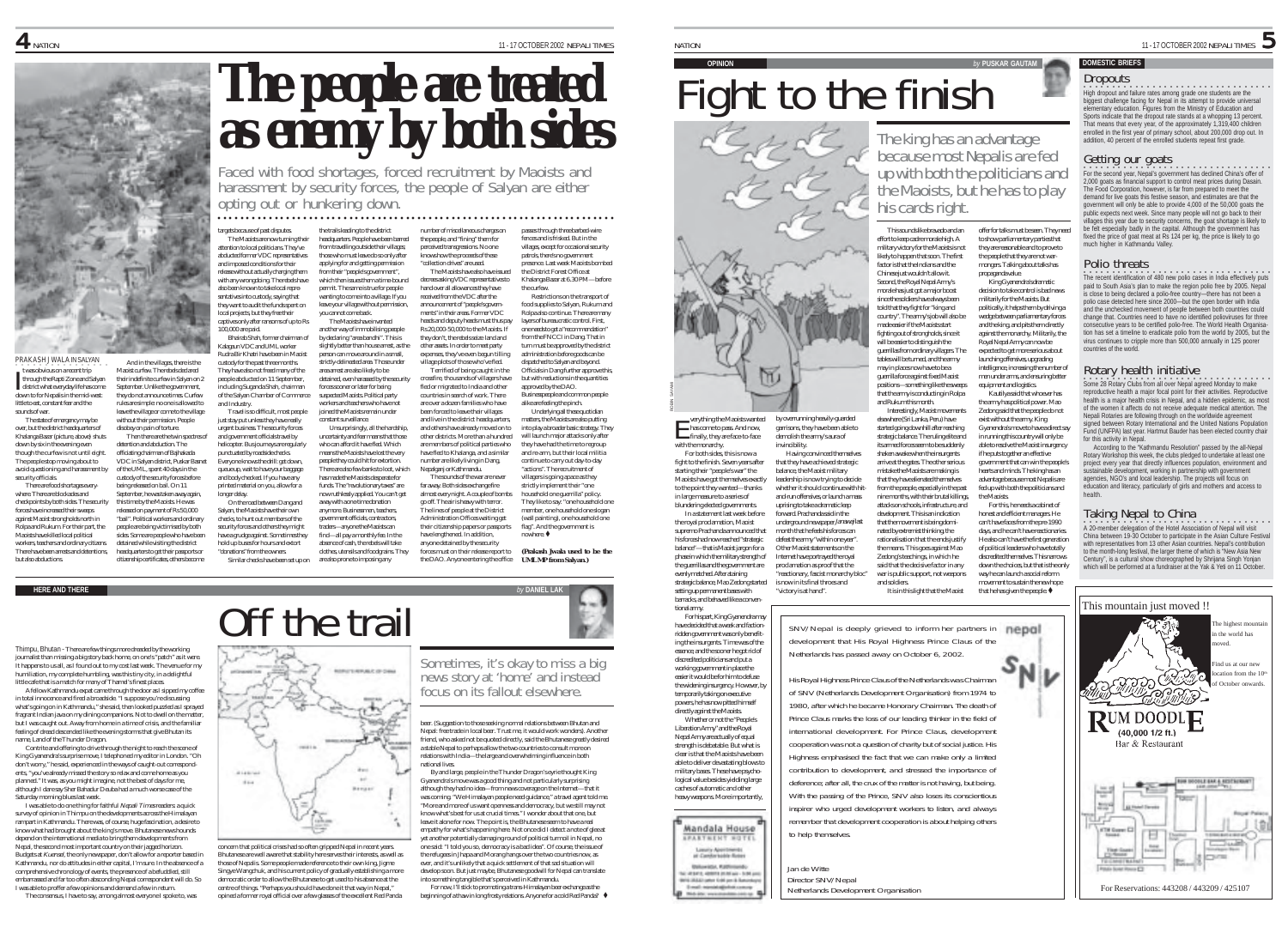

And in the villages, there is the

Then there are the twin spectres of

and Industry.

longer delay.

Similar checks have been set up on

distant 18.44

,<br>September, he was taken away again

released on payment of Rs 50,000 "bail". Political workers and ordinary people are being victimised by both sides. Some are people who have been detained while visiting the district headquarters to get their passports or citizenship certificates, others become

PRAKASH JWALA IN SALYAN ○○○○○○○○○○○○○○○○ t was obvious on a recent trip through the Rapti Zone and Salyan t was obvious on a recent trip<br>through the Rapti Zone and Salyan<br>district what everyday life has come down to for Nepalis in the mid-west: little to eat, constant fear and the sounds of war. The state of emergency may be Maoist curfew. The rebels declared their indefinite curfew in Salyan on 2 September. Unlike the government. they do not announce times. Curfew rules are simple: no one is allowed to leave the village or come to the village without their permission. People

over, but the district headquarters of Khalanga Bazar (picture, above) shuts down by six in the evening even though the curfew is not until eight. The people stop moving about to avoid questioning and harassment by security officials. There are food shortages everywhere. There are blockades and disobey on pain of torture. detention and abduction. The officiating chairman of Bajhakada VDC in Salyan district, Puskar Basnet of the UML, spent 40 days in the custody of the security forces before being released on bail. On 11 this time by the Maoists. He was

checkpoints by both sides. The security forces have increased their sweeps against Maoist strongholds north in Rolpa and Rukum. For their part, the Maoists have killed local political workers, teachers and ordinary citizens. There have been arrests and detentions, but also abductions.

**HERE AND THERE** *by* **DANIEL LAK**

Thimpu, Bhutan - There are few things more dreaded by the working journalist than missing a big story back home, on one's "patch" as it were. It happens to us all, as I found out to my cost last week. The venue for my humiliation, my complete humbling, was this tiny city, in a delightful little cafe that is a match for many of Thamel's finest places.

A fellow Kathmandu expat came through the door as I sipped my coffee in total innocence and fired a broadside. "I suppose you're discussing what's going on in Kathmandu," she said, then looked puzzled as I sprayed fragrant Indian java on my dining companions. Not to dwell on the matter, but I was caught out. Away from home in a time of crisis, and the familiar feeling of dread descended like the evening storms that give Bhutan its name, Land of the Thunder Dragon.

Contrite and offering to drive through the night to reach the scene of King Gyanendra's surprise move, I telephoned my editor in London. "Oh don't worry," he said, experienced in the ways of caught-out correspondents, "you've already missed the story so relax and come home as you planned." It was, as you might imagine, not the best of days for me, although I dare say Sher Bahadur Deuba had a much worse case of the Saturday morning blues last week.

I was able to do one thing for faithful Nepali Times readers: a quick survey of opinion in Thimpu on the developments across the Himalayan rampart in Kathmandu. There was, of course, huge fascination, a desire to know what had brought about the king's move. Bhutanese news hounds depend on the international media to bring them developments from Nepal, the second most important country on their jagged horizon. Budgets at Kuensel, the only newspaper, don't allow for a reporter based in Kathmandu, nor do attitudes in either capital, I'm sure. In the absence of a comprehensive chronology of events, the presence of a befuddled, still embarrassed and far too often absconding Nepal correspondent will do. So I was able to proffer a few opinions and demand a few in return.

The consensus, I have to say, among almost everyone I spoke to, was

 $\,$  11 -17 OCTOBER 2002 NEPALI TIMES NATION 11 -17 OCTOBER 2002 NEPALI TIMES NATION 11 - 17 OCTOBER 2002 NEPALI TIMES

# **The people are treated as energy by both sides**

harassment by security forces, the people of Salyan are either opting out or hunkering down. ○○○○○○○○○○○○○○○○○○○○○○○ ○○○○○○○○○○○○○○○○○○○○○○○○○○○○○○○○○○○○○○○○○○○○○○○

targets because of past disputes. The Maoists are now turning their attention to local politicians. They've abducted former VDC representatives and imposed conditions for their release without actually charging them with any wrongdoing. The rebels have also been known to take local representatives into custody, saying that they want to audit the funds spent on local projects, but they free their captives only after ransoms of up to Rs the trails leading to the district

100,000 are paid. Bhairab Shah, former chairman of Kalagaun VDC and UML worker Rudra Bir Khatri have been in Maoist custody for the past three months. They have also not freed many of the people abducted on 11 September, including Suganda Shah, chairman of the Salyan Chamber of Commerce Travel is so difficult, most people just stay put unless they have really urgent business. The security forces and government officials travel by helicopter. Bus journeys are regularly punctuated by roadside checks. Everyone knows the drill: get down, queue up, wait to have your baggage and body checked. If you have any printed material on you, allow for a On the road between Dang and Salyan, the Maoists have their own checks, to hunt out members of the security forces and others they might have a grudge against. Sometimes the hold up buses for hours and extort "donations" from the owners. constant surveillance. find—all pay a monthly fee. In the absence of cash, the rebels will take clothes, utensils and foodgrains. They

Off the trail

concern that political crises had so often gripped Nepal in recent years. Bhutanese are well aware that stability here serves their interests, as well as those of Nepalis. Some people made reference to their own king, Jigme Singye Wangchuk, and his current policy of gradually establishing a more democratic order to allow the Bhutanese to get used to his absence at the centre of things. "Perhaps you should have done it that way in Nepal," opined a former royal official over a few glasses of the excellent Red Panda

headquarters. People have been barred from travelling outside their villages those who must leave do so only after applying for and getting permission from their "people's government", sues them a time-bound permit. The same is true for people wanting to come into a village. If you leave your village without permission, you cannot come back. The Maoists have invented

another way of immobilising people by declaring "area bandhi". This is slightly better than house arrest, as the person can move around in a small, strictly-delineated area. Those under area arrest are also likely to be detained, even harassed by the security forces sooner or later for being suspected Maoists. Political party workers and teachers who have not joined the Maoists remain under Unsurprisingly, all the hardship, uncertainty and fear means that those who can afford it have fled. Which means the Maoists have lost the very people they could hit for extortion. There are also few banks to loot, which has made the Maoists desperate for funds. The "revolutionary taxes" are now ruthlessly applied. You can't get away with a one-time donation anymore. Businessmen, teachers, government officials, contractors, traders—anyone the Maoists can

are also prone to imposing any

**REPORT REPORT OF CANA** 

**Bank** 

Breast

number of miscellaneous charges on the people, and "fining" them for perceived transgressions. No one knows how the proceeds of these "collection drives" are used. The Maoists have also have issued decrees asking VDC representatives to hand over all allowances they have received from the VDC after the announcement of "people's governpasses through three barbed-wire fences and is frisked. But in the villages, except for occasional security<br>natrols, there's no government patrols, there's no government presence. Last week Maoists bombed the District Forest Office at Khalanga Bazar at 6.30 PM—before the curfew. Restrictions on the transport of

ments" in their areas. Former VDC heads and deputy heads must thus pay Rs 20,000-50,000 to the Maoists. If they don't, the rebels seize land and other assets. In order to meet party expenses, they've even begun tilling village plots of those who've fled. Terrified of being caught in the crossfire, thousands of villagers have fled or migrated to India and other countries in search of work. There are over a dozen families who have been forced to leave their villages and live in the district headquarters and others have already moved on to other districts. More than a hundred are members of political parties who have fled to Khalanga, and a similar number are likely living in Dang, Nepalganj or Kathmandu. The sounds of the war are never far away. Both sides exchange fire almost every night. A couple of bombs go off. The air is heavy with terror. The lines of people at the District Administration Offices waiting get their citizenship papers or passports food supplies to Salyan, Rukum and Rolpa also continue. There are many layers of bureaucratic control. First, one needs to get a "recommendation" from the FNCCI in Dang. That in turn must be approved by the district administration before goods can be dispatched to Salyan and beyond. Officials in Dang further approve this, but with reductions in the quantities approved by the DAO. Businesspeople and common alike are feeling the pinch. Underlying all these quotidian matters, the Maoists are also putting into play a broader basic strategy. They will launch major attacks only after they have had the time to regroup and re-arm, but their local militia continue to carry out day-to-day actions". The recruitment of villagers is going apace as they strictly implement their "one household one guerrilla" policy. They like to say: "one household one member, one household one slogan (wall painting), one household one flag". And the government is

have lengthened. In addition, anyone detained by the security forces must on their release report to the DAO. Anyone entering the office nowhere  $\triangle$ *(Prakash Jwala used to be the UML MP from Salyan.)*

Sometimes, it's okay to miss a big news story at 'home' and instead focus on its fallout elsewhere.

beer. (Suggestion to those seeking normal relations between Bhutan and Nepal: free trade in local beer. Trust me, it would work wonders). Another friend, who asked not be quoted directly, said the Bhutanese greatly desired a stable Nepal to perhaps allow the two countries to consult more on relations with India—the large and overwhelming influence in both

By and large, people in the Thunder Dragon's eyrie thought King Gyanendra's move was a good thing and not particularly surprising although they had no idea—from news coverage on the Internet—that it was coming. "We Himalayan people need guidance," a travel agent told me. "More and more of us want openness and democracy, but we still may not know what's best for us at crucial times." I wonder about that one, but leave it alone for now. The point is, the Bhutanese seem to have a real empathy for what's happening here. Not once did I detect a note of glee at yet another potentially damaging round of political turmoil in Nepal, no one said: "I told you so, democracy is a bad idea". Of course, the issue of the refugees in Jhapa and Morang hangs over the two countries now, as ever, and it's unlikely that a quick settlement of that sad situation will develop soon. But just maybe, Bhutanese goodwill for Nepal can translate into something tangible that's perceived in Kathmandu. For now, I'll stick to promoting a trans-Himalayan beer exchange as the beginning of a thaw in long frosty relations. Anyone for a cold Red Panda? .

national lives.

# Fight to the finish

The king has an advantage<br>because most Nepalis are fed<br>up with both the politicians and<br>the Maoists, but he has to play<br>his cards right.

effort to keep cadre morale high. A military victory for the Maoists is not likely to happen that soon. The first factor is that the Indians and the Chinese just wouldn't allow it. Second, the Royal Nepal Army's morale has just got a major boost since the soldiers have always been told that they fight for "king and country". The army's job will also be made easier if the Maoists start fighting out of strongholds, since it will be easier to distinguish the guerrillas from ordinary villagers. The tables will be turned, and the army may in places now have to be a guerrilla force against fixed Maoist positions—something like the sweeps that the army is conducting in Rolpa and Rukum this month.

Interestingly, Maoist movements elsewhere (Sri Lanka, Peru) have started going downhill after reaching strategic balance. The ruling elite and its armed forces seem to be suddenly shaken awake when the insurgents arrive at the gates. The other serious mistake the Maoists are making is that they have alienated themselves from the people, especially in the past nine months, with their brutal killings, attacks on schools, infrastructure, and development. This is an indication that the movement is being dominated by extremist thinking, the rationalisation that the ends justify the means. This goes against Mao

•<br>High dropout and failure rates among grade one students are the biggest challenge facing for Nepal in its attempt to provide universal elementary education. Figures from the Ministry of Education and Sports indicate that the dropout rate stands at a whopping 13 percent. That means that every year, of the approximately 1,319,400 children enrolled in the first year of primary school, about 200,000 drop out. In addition, 40 percent of the enrolled students repeat first grade.

**DOMESTIC BRIEFS**

**Dropouts** 

 $\operatorname{Getting}$  our goats<br>For the second year, Nepal's government has declined China's offer of 2,000 goats as financial support to control meat prices during Dasain. The Food Corporation, however, is far from prepared to meet the demand for live goats this festive season, and estimates are that the government will only be able to provide 4,000 of the 50,000 goats the public expects next week. Since many people will not go back to their villages this year due to security concerns, the goat shortage is likely to be felt especially badly in the capital. Although the government has fixed the price of goat meat at Rs 124 per kg, the price is likely to go much higher in Kathmandu Valley.

11-17 OCTOBER 2002 NEPALI TIMES

### Polio threats

•<br>The recent identification of 480 new polio cases in India effectively puts paid to South Asia's plan to make the region polio free by 2005. Nepal is close to being declared a polio-free country—there has not been a polio case detected here since 2000—but the open border with India and the unchecked movement of people between both countries could change that. Countries need to have no identified polioviruses for three consecutive years to be certified polio-free. The World Health Organisation has set a timeline to eradicate polio from the world by 2005, but the virus continues to cripple more than 500,000 annually in 125 poorer countries of the world.

### Rotary health initiative

e<br>Some 28 Rotary Clubs from all over Nepal agreed Monday to make<br>reproductive health a major focal point for their activities. Reproductive health is a major health crisis in Nepal, and a hidden epidemic, as most of the women it affects do not receive adequate medical attention. The Nepali Rotaries are following through on the worldwide agreement signed between Rotary International and the United Nations Population Fund (UNFPA) last year. Hartmut Bauder has been elected country chair for this activity in Nepal.

According to the "Kathmandu Resolution" passed by the all-Nepal Rotary Workshop this week, the clubs pledged to undertake at least one project every year that directly influences population, environment and sustainable development, working in partnership with government agencies, NGO's and local leadership. The projects will focus on education and literacy, particularly of girls and mothers and access to health.

This mountain just moved !!

 $\mathbf{Q}$ UM DOODL $\mathbf{\mathbf{\mathsf{L}}}$  $(40,0001/2 ft.)$ Bar & Restaurant

 $\textsf{Taking}\ \textsf{Nepal}\ \textsf{to}\ \textsf{China}\ \textsf{Soisson}$ China between 19-30 October to participate in the Asian Culture Festival with representatives from 13 other Asian countries. Nepal's contribution to the month-long festival, the larger theme of which is "New Asia New Century", is a cultural show choreographed by Shrijana Singh Yonjan which will be performed at a fundraiser at the Yak & Yeti on 11 October.

For Reservations: 443208 / 443209 / 425107

The highest mountain in the world has moved. Find us at our new cation from the 10 of October onwards.

and soldiers. It is in this light that the Maoist movement to sustain the new hope that he has given the people.  $\blacklozenge$ 

of SNV (Netherlands Development Organisation) from 1974 to 1980, after which he became Honorary Chairman. The death of Prince Claus marks the loss of our leading thinker in the field of international development. For Prince Claus, development cooperation was not a question of charity but of social justice. His Highness emphasised the fact that we can make only a limited contribution to development, and stressed the importance of deference; after all, the crux of the matter is not having, but being. With the passing of the Prince, SNV also loses its conscientious inspirer who urged development workers to listen, and always remember that development cooperation is about helping others to help themselves.

Netherlands Development Organisation

This sounds like bravado and an offer for talks must be seen. They need to show parliamentary parties that

they are reasonable and to prove to the people that they are not warmongers. Talking about talks has propaganda value. King Gyanendra's dramatic decision to take control is bad news militarily for the Maoists. But politically, it helps them by driving a wedge between parliamentary forces and the king, and pits them directly against the monarchy. Militarily, the Royal Nepal Army can now be expected to get more serious about launching offensives, upgrading intelligence, increasing the number of men under arms, and ensuring bette equipment and logistics Kautilya said that whoever has the army has political power. Mao Zedong said that the people do not

exist without the army. King Gyanendra's move to have a direct say in running this country will only be able to resolve the Maoist insurgency if he puts together an effective government that can win the people's hearts and minds. The king has an advantage because most Nepalis are fed up with both the politicians and the Maoists. For this, he needs a cabinet of honest and efficient managers. He can't have faces from the pre-1990 days, and he can't have reactionaries. He also can't have the first generation

Zedong's teachings, in which he said that the decisive factor in any war is public support, not weapon of political leaders who have totally discredited themselves. This narrows down the choices, but that is the only way he can launch a social reform



Jan de Witte Director SNV/Nepal

essence, and the sooner he got rid of discredited politicians and put a working government in place the easier it would be for him to defuse the widening insurgency. However, by temporarily taking on executive powers, he has now pitted himself directly against the Maoists. Whether or not the "People's Liberation Army" and the Royal Nepal Army are actually of equal strength is debatable. But what is clear is that the Maoists have been

barracks, and behaved like a conventional army.

ROBIN SAYAMI

For his part, King Gyanendra may have decided that a weak and factionridden government was only benefiting the insurgents. Time was of the

able to deliver devastating blows to military bases. These have psychological value besides yielding large caches of automatic and other heavy weapons. More importantly, Mandala House **LEASTWENT SOTE** 

# Lasaig Appilloinetti<br>E Cambrinable Robert **Industria Kellensin** ui veses venns initiais-bitta<br>Inisialaisune toll pe à Sanche

verything the Maoists wanted **Finally**, they are face-to-face<br>
finally, they are face-to-face by overrunning heavily-guarded garrisons, they have been able to demolish the army's aura of invincibility. Having convinced themselves that they have achieved strategic balance, the Maoist military

his forces had now reached "strategic balance"—that is Maoist jargon for a phase in which the military strength of the guerrillas and the government are evenly matched. After ataining strategic balance, Mao Zedong started setting up permanent bases with month that he feels his forces can defeat the army "within one year". Other Maoist statements on the Internet have portrayed the royal proclamation as proof that the reactionary, fascist monarchy bloc is now in its final throes and "victory is at hand".

with the monarchy. For both sides, this is now a fight to the finish. Seven years after starting their "people's war" the Maoists have got themselves exactly to the point they wanted—thanks in large measure to a series of blundering elected governments. In a statement last week before the royal proclamation, Maoist supremo Prachanda announced that leadership is now trying to decide whether it should continue with hitand-run offensives, or launch a mass uprising to take a dramatic leap forward. Prachanda said in the underground newspaper Janawaj last

m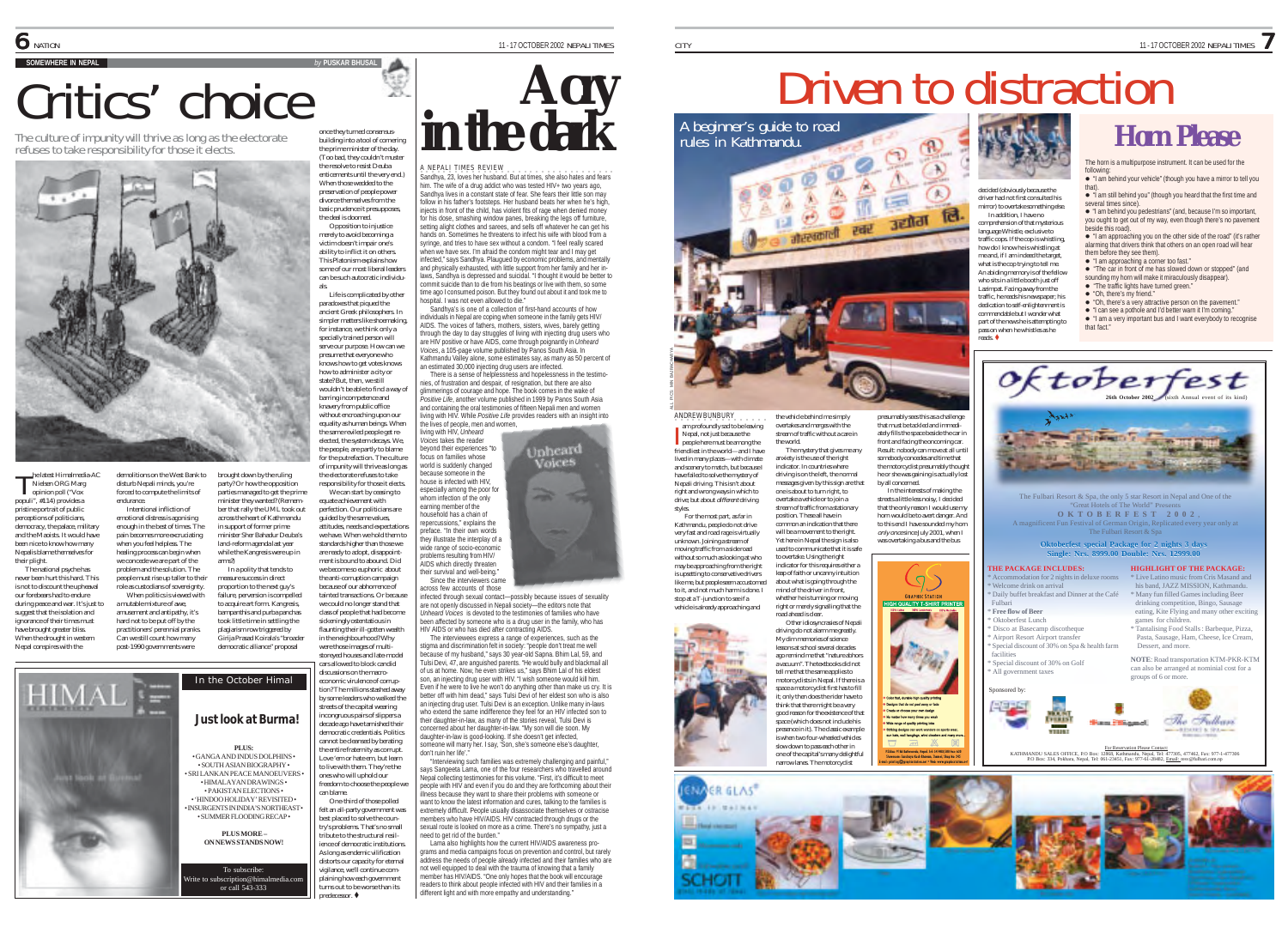**JENJI** 

**Pdf** 

presumably sees this as a challenge that must be tackled and immediately fills the space beside the car in front and facing the oncoming car. Result: nobody can move at all until somebody concedes and time that the motorcyclist presumably thought he or she was gaining is actually lost by all concerned. In the interests of making the streets a little less noisy, I decided that the only reason I would use my horn would be to avert danger. And to this end I have sounded my horn only once since July 2001, when I was overtaking a bus and the bus

 $\sigma$ 

to range of quality printing inks

1 2 2 3 2

# Critics' choice

The culture of impunity will thrive as long as the electorate refuses to take responsibility for those it elects.



demolitions on the West Bank to disturb Nepali minds, you're forced to compute the limits of endurance. Intentional infliction of emotional distress is agonising enough in the best of times. The pain becomes more excruciating when you feel helpless. The healing process can begin when we concede we are part of the problem and the solution. The people must rise up taller to their role as custodians of sovereignty. When politics is viewed with a mutable mixture of awe, amusement and antipathy, it's hard not to be put off by the practitioners' perennial pranks. Can we still count how many

brought down by the ruling party? Or how the opposition parties managed to get the prime minister they wanted? (Remember that rally the UML took out across the heart of Kathmandu in support of former prime minister Sher Bahadur Deuba's land-reform agenda last year while the Kangresis were up in arms?)

he latest Himalmedia-AC<br>Nielsen ORG Marg<br>opinion poll (\*Vox Nielsen ORG Marg opinion poll ("Vox populi", #114) provides a pristine portrait of public perceptions of politicians, democracy, the palace, military and the Maoists. It would have been nice to know how many Nepalis blame themselves for their plight. The national psyche has never been hurt this hard. This is not to discount the upheaval our forebears had to endure

during peace and war. It's just to suggest that the isolation and ignorance of their times must have brought greater bliss. When the drought in western Nepal conspires with the



once they turned consensusbuilding into a tool of cornering the prime minister of the day. (Too bad, they couldn't muster the resolve to resist Deuba enticements until the very end.)

When those wedded to the preservation of people power divorce themselves from the basic prudence it presupposes the deal is doomed.

Opposition to injustice merely to avoid becoming a victim doesn't impair one's ability to inflict it on others. This Platonism explains how some of our most liberal leaders can be such autocratic individuals.

Life is complicated by other paradoxes that piqued the ancient Greek philosophers. In simpler matters like shoemaking, for instance, we think only a specially trained person will serve our purpose. How can we presume that everyone who knows how to get votes knows how to administer a city or state? But, then, we still wouldn't be able to find a way of barring incompetence and knavery from public office without encroaching upon our equality as human beings. When the same reviled people get reelected, the system decays. We, the people, are partly to blame for the putrefaction. The culture of impunity will thrive as long as

the electorate refuses to take responsibility for those it elects. We can start by ceasing to equate achievement with perfection. Our politicians are guided by the same values, attitudes, needs and expectations we have. When we hold them to standards higher than those we are ready to adopt, disappointment is bound to abound. Did

In a polity that tends to measure success in direct proportion to the next guy's failure, perversion is compelled to acquire art form. Kangresis, bampanthis and purba panchas took little time in settling the plagiarism row triggered by Girija Prasad Koirala's "broader democratic alliance" proposal we become so euphoric about the anti-corruption campaign because of our abhorrence of tainted transactions. Or because we could no longer stand that class of people that had become sickeningly ostentatious in flaunting their ill-gotten wealth in the neighbourhood? Why were those images of multi-

storeyed houses and late-model cars allowed to block candid discussions on the macroeconomic virulence of corruption? The millions stashed away by some leaders who walked the streets of the capital wearing incongruous pairs of slippers a decade ago have tarnished their democratic credentials. Politics cannot be cleansed by berating the entire fraternity as corrupt. Love 'em or hate em, but learn to live with them. They're the

ones who will uphold our freedom to choose the people we can blame. One-third of those polled

felt an all-party government was best placed to solve the country's problems. That's no small tribute to the structural resilience of democratic institutions. As long as endemic vilification

distorts our capacity for eternal vigilance, we'll continue complaining how each government turns out to be worse than its  $pred$ ecessor. $\bullet$ 



A NEPALI TIMES REVIEW ·<br>Sandhya, 23, loves her husband. But at times, she also hates and fears him. The wife of a drug addict who was tested HIV+ two years ago, Sandhya lives in a constant state of fear. She fears their little son may follow in his father's footstens. Her husband beats her when he's high injects in front of the child, has violent fits of rage when denied money for his dose, smashing window panes, breaking the legs off furniture, setting alight clothes and sarees, and sells off whatever he can get his hands on. Sometimes he threatens to infect his wife with blood from a syringe, and tries to have sex without a condom. "I feel really scared when we have sex. I'm afraid the condom might tear and I may get infected," says Sandhya. Plaugued by economic problems, and mentally and physically exhausted, with little support from her family and her inlaws, Sandhya is depressed and suicidal. "I thought it would be better to commit suicide than to die from his beatings or live with them, so some time ago I consumed poison. But they found out about it and took me to hospital. I was not even allowed to die."

Sandhya's is one of a collection of first-hand accounts of how individuals in Nepal are coping when someone in the family gets HIV/ AIDS. The voices of fathers, mothers, sisters, wives, barely getting through the day to day struggles of living with injecting drug users who are HIV positive or have AIDS, come through poignantly in *Unheard Voices*, a 105-page volume published by Panos South Asia. In Kathmandu Valley alone, some estimates say, as many as 50 percent of an estimated 30,000 injecting drug users are infected.

There is a sense of helplessness and hopelessness in the testimonies, of frustration and despair, of resignation, but there are also mmerings of courage and hope. The book comes in the wake of *Positive Life*, another volume published in 1999 by Panos South Asia and containing the oral testimonies of fifteen Nepali men and women living with HIV. While *Positive Life* provides readers with an insight into the lives of people, men and women,

Jnheard<br>Voices

living with HIV, *Unheard Voices* takes the reader beyond their experiences "to focus on families whose world is suddenly changed because someone in the house is infected with HIV, especially among the poor for whom infection of the only earning member of the household has a chain of repercussions," explains the preface. "In their own words .<br>they illustrate the interplay of a wide range of socio-economic problems resulting from HIV/ AIDS which directly threaten their survival and well-being."

Since the interviewers came cross few accounts of those

infected through sexual contact—possibly because issues of sexuality are not openly discussed in Nepali society—the editors note that *Unheard Voices* is devoted to the testimonies of families who have

been affected by someone who is a drug user in the family, who has HIV AIDS or who has died after contracting AIDS.

The interviewees express a range of experiences, such as the stigma and discrimination felt in society: "people don't treat me well because of my husband," says 30 year-old Sapna. Bhim Lal, 59, and Tulsi Devi, 47, are anguished parents. "He would bully and blackmail all of us at home. Now, he even strikes us," says Bhim Lal of his eldest son, an injecting drug user with HIV. "I wish someone would kill him. Even if he were to live he won't do anything other than make us cry. It is better off with him dead," says Tulsi Devi of her eldest son who is also an injecting drug user. Tulsi Devi is an exception. Unlike many in-laws who extend the same indifference they feel for an HIV infected son to their daughter-in-law, as many of the stories reveal, Tulsi Devi is concerned about her daughter-in-law. "My son will die soon. My daughter-in-law is good-looking. If she doesn't get infected, someone will marry her. I say, 'Son, she's someone else's daughte don't ruin her life'."

"Interviewing such families was extremely challenging and painful," says Sangeeta Lama, one of the four researchers who travelled around Nepal collecting testimonies for this volume. "First, it's difficult to meet people with HIV and even if you do and they are forthcoming about their illness because they want to share their problems with someone or want to know the latest information and cures, talking to the families is

extremely difficult. People usually disassociate themselves or ostracise members who have HIV/AIDS. HIV contracted through drugs or the sembore who have in white is in a crime. There's no sympathy, just a need to get rid of the burden."

Lama also highlights how the current HIV/AIDS awareness programs and media campaigns focus on prevention and control, but rarely address the needs of people already infected and their families who are not well equipped to deal with the trauma of knowing that a family member has HIV/AIDS. "One only hopes that the book will encourage readers to think about people infected with HIV and their families in a different light and with more empathy and understanding."

# Driven to distraction

 $\bigcirc$ decided (obviously because the driver had not first consulted his



A beginner's guide to road rules in Kathmandu. **Horn Please** 

The horn is a multipurpose instrument. It can be used for the " "I am behind your vehicle" (though you have a mirror to tell you

that). " "I am still behind you" (though you heard that the first time and several times since).

" "I am behind you pedestrians" (and, because I'm so important, you ought to get out of my way, even though there's no pavement beside this road). " "I am approaching you on the other side of the road" (it's rather

alarming that drivers think that others on an open road will hear them before they see them).

" "I am approaching a corner too fast." " "The car in front of me has slowed down or stopped" (and

sounding my horn will make it miraculously disappear). " "The traffic lights have turned green." " "Oh, there's a very attractive person on the pavement." " "I can see a pothole and I'd better warn it I'm coming."

" "I am a very important bus and I want everybody to recognise

- " "Oh, there's my friend."
- who sits in a little booth just off Lazimpat. Facing away from the traffic, he reads his newspaper; his dedication to self-enlightenment is commendable but I wonder what part of the news he is attempting to

mirror) to overtake something else. In addition, I have no comprehension of that mysterious language Whistle, exclusive to traffic cops. If the cop is whistling, how do I know he is whistling at me and, if I am indeed the target, what is the cop trying to tell me. An abiding memory is of the fellow

pass on when he whistles as he reads. ! that fact."





friendliest in the world—and I have lived in many places—with climate and scenery to match, but because I have failed to solve the mystery of Nepali driving. This isn't about right and wrong ways in which to drive; but about *different* driving res.<br>For the most part, as far in Kathmandu, people do not drive very fast and road rage is virtually unknown. Joining a stream of The mystery that gives me an anxiety is the use of the right indicator. In countries where driving is on the left, the normal messages given by this sign are that one is about to turn right, to overtake a vehicle or to join a stream of traffic from a stationary position. These all have in common an indication that there

ANDREW BUNBURY . . . . . am profoundly sad to be leaving Nepal, not just because the am protoundly sad to be leaving<br>Nepal, not just because the<br>people here must be among the

styles.

ALL PICS: MIN BAJRACHARYA

moving traffic from a side road without so much as looking at who may be approaching from the right is upsetting to conservative drivers like me, but people seem accustomed to it, and not much harm is done. I stop at a T-junction to see if a vehicle is already approaching and will be a movement to the right. Yet here in Nepal the sign is also used to communicate that it is safe to overtake. Using the right indicator for this requires either a leap of faith or uncanny intuition about what is going through the mind of the driver in front, whether he is turning or moving right or merely signalling that the

the vehicle behind me simply overtakes and merges with the stream of traffic without a care in the world.

ateerated



road ahead is clear. Other idiosyncrasies of Nepali driving do not alarm me greatly. My dim memories of science lessons at school several decades ago remind me that "nature abhors

> one of the capital's many delightful narrow lanes. The motorcyclist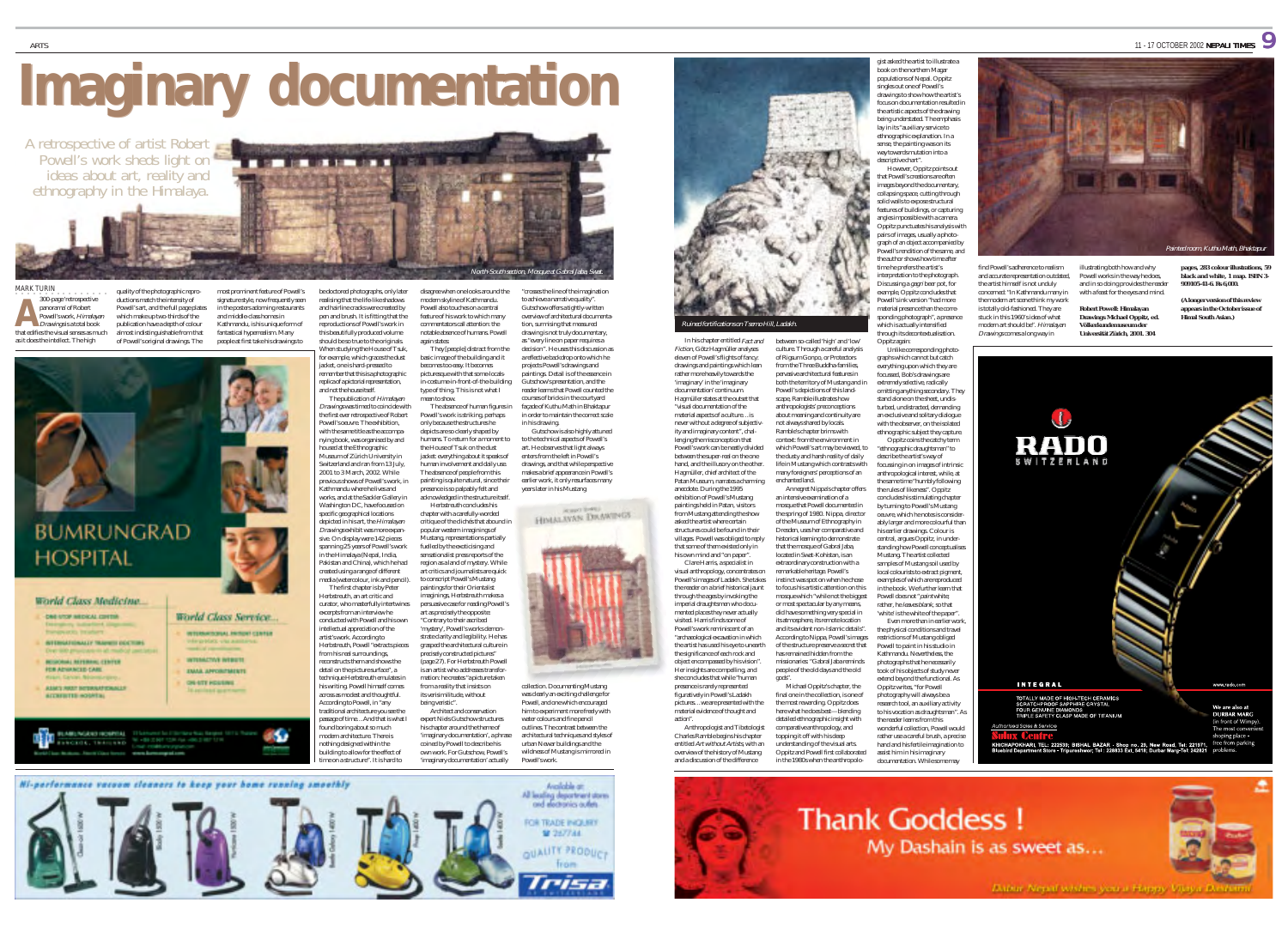# **Imaginary documentation**

**THE R. P. LEWIS CO., LANSING, MICH. 49-14039-1-120-2** 

most prominent feature of Powell's signature style, now frequently seen in the posters adorning restaurants and middle-class homes in Kathmandu, is his unique form of fantastical hyperrealism. Many people at first take his drawings to

A retrospective of artist Robert Powell's work sheds light on ideas about art, reality and ethnography in the Himalaya.

MARK TURIN 300-page 'retrospective panorama' of Robert Powell's work, Himalayan **Drawings is a total book** that edifies the visual senses as much as it does the intellect. The high quality of the photographic reproductions match the intensity of Powell's art, and the full page plates which make up two-thirds of the publication have a depth of colour almost indistinguishable from that of Powell's original drawings. The

**A**





- CAR AND ARDICAL CONTA. *INTERNATIONALLY TRAPPENTOCOTTAL*
- **BEIGHAMA REFERENCE CENTER CRADUANCED CAR**
- ASACT PARKT SITEMAAR ESAACLE

**ACCREDITED HOSPITAL** 

LABLINGUO INDENIA **SACKERS TRAINING** 

World Class Service **WYERNATOWAL PRINSY CENTER** 

**WTENCTWE INTERTS** 

**EMAIL APPOINTMENTS** ON-STE HOUSING



be doctored photographs, only later realising that the life-like shadows and hairline cracks were created by pen and brush. It is fitting that the reproductions of Powell's work in this beautifully produced volume should be so true to the originals. When studying the House of Tsuk, for example, which graces the dust disagree when one looks around the modern skyline of Kathmandu. Powell also touches on a central feature of his work to which many commentators call attention: the notable absence of humans. Powell again states: basic image of the building and it

jacket, one is hard-pressed to emember that this is a photographic replica of a pictorial representation, and not the house itself. The publication of Himalayan Drawings was timed to coincide with the first ever retrospective of Robert Powell's oeuvre. The exhibition, with the same title as the accompanying book, was organised by and becomes too easy. It becomes picturesque with that some-localsin-costume-in-front-of-the-building type of thing. This is not what I mean to show. Powell's work is striking, perhaps only because the structures he depicts are so clearly shaped by humans. To return for a moment to

used at the Ethnographic Museum of Zürich University in Switzerland and ran from 13 July, 2001 to 3 March, 2002. While previous shows of Powell's work, in Kathmandu where he lives and works, and at the Sackler Gallery in Washington DC, have focused on specific geographical locations depicted in his art, the *Himalayan* Drawings exhibit was more expansive. On display were 142 pieces spanning 25 years of Powell's work in the Himalaya (Nepal, India, Pakistan and China), which he had created using a range of different media (watercolour, ink and pencil). The first chapter is by Peter Herbstreuth, an art critic and curator, who masterfully intertwines excerpts from an interview he conducted with Powell and his own intellectual appreciation of the artist's work. According to Herbstreuth, Powell "extracts pieces from his real surroundings, reconstructs them and shows the detail on the picture surface", a technique Herbstreuth emulates in his writing. Powell himself comes across as modest and thoughtful. According to Powell, in "any traditional architecture you see the the House of Tsuk on the dust jacket: everything about it speaks of human involvement and daily use. The absence of people from this painting is quite natural, since their presence is so palpably felt and acknowledged in the structure itself Herbstreuth concludes his chapter with a carefully-worded critique of the clichés that abound in popular western imaginings of Mustang, representations partially fuelled by the exoticising and sensationalist press reports of the region as a land of mystery. While

ound boring about so much modern architecture. There is othing designed within the building to allow for the effect of time on a structure". It is hard to

passage of time…And that is what I art critics and journalists are quick to conscript Powell's Mustang paintings for their Orientalist imaginings, Herbstreuth makes a persuasive case for reading Powell's art as precisely the opposite: "Contrary to their ascribed 'mystery', Powell's works demonstrate clarity and legibility. He has grasped the architectural culture in precisely constructed pictures" (page 27). For Herbstreuth Powell is an artist who addresses transformation: he creates "a picture taken from a reality that insists on its verisimilitude, without being veristic". Architect and conservation expert Niels Gutschow structures

They [people] distract from the

The absence of human figures in

his chapter around the theme of 'imaginary documentation', a phrase coined by Powell to describe his own work. For Gutschow, Powell's 'imaginary documentation' actually Powell's work.

to achieve a narrative quality. Gutschow offers a tightly-written overview of architectural documentation, surmising that measured drawing is not truly documentary, as "every line on paper requires a decision". He uses this discussion as a reflective backdrop onto which he projects Powell's drawings and paintings. Detail is of the essence in Gutschow's presentation, and the reader learns that Powell counted the courses of bricks in the courtyard façade of Kuthu Math in Bhaktapur in order to maintain the correct scale in his drawing. Gutschow is also highly attuned

"crosses the line of the imagination

North-South section, Mosque at Gabral Jaba, Swat.

to the technical aspects of Powell's art. He observes that light always enters from the left in Powell's drawings, and that while perspective makes a brief appearance in Powell's earlier work, it only resurfaces many years later in his Mustang

HIMALAYAN DRAWINGS



collection. Documenting Mustang was clearly an exciting challenge fo Powell, and one which encouraged him to experiment more freely with water colours and fine pencil outlines. The contrast between the architectural techniques and styles of urban Newar buildings and the wildness of Mustang is mirrored in



Fiction, Götz Hagmüller analyses eleven of Powell's flights of fancy: drawings and paintings which lean rather more heavily towards the 'imaginary' in the 'imaginary documentation' continuum. Hagmüller states at the outset that "visual documentation of the material aspects of a culture…is never without a degree of subjectivity and imaginary content", challenging the misconception that Powell's work can be neatly divided between the super-real on the one hand, and the illusory on the other. culture. Through a careful analysis of Rigsum Gonpo, or Protectors from the Three Buddha-families. pervasive architectural features in both the territory of Mustang and in Powell's depictions of this landscape, Ramble illustrates how anthropologists' preconceptions about meaning and continuity are not always shared by locals. Ramble's chapter brims with context: from the environment in which Powell's art may be viewed, to the dusty and harsh reality of daily life in Mustang which contrasts with

Hagmüller, chief architect of the Patan Museum, narrates a charming anecdote. During the 1995 exhibition of Powell's Mustang paintings held in Patan, visitors from Mustang attending the show asked the artist where certain structures could be found in their villages. Powell was obliged to reply that some of them existed only in many foreigners' perceptions of an enchanted land. Annegret Nippa's chapter offers an intensive examination of a mosque that Powell documented in the spring of 1980. Nippa, director of the Museum of Ethnography in Dresden, uses her comparative and historical learning to demonstrate that the mosque of Gabral Jaba,

his own mind and "on paper". Clare Harris, a specialist in visual anthropology, concentrates or Powell's images of Ladakh. She takes the reader on a brief historical jaunt through the ages by invoking the imperial draughtsmen who documented places they never actually visited. Harris finds some of Powell's work reminiscent of an "archaeological excavation in which the artist has used his eye to unearth the significance of each rock and object encompassed by his vision". Her insights are compelling, and located in Swat-Kohistan, is an extraordinary construction with a remarkable heritage. Powell's of the structure preserve a secret that has remained hidden from the missionaries: "Gabral Jaba reminds people of the old days and the old

she concludes that while "human presence is rarely represented figuratively in Powell's Ladakh pictures…we are presented with the material evidence of thought and gods". Michael Oppitz's chapter, the final one in the collection, is one of the most rewarding. Oppitz does here what he does best—blending

action".

Anthropologist and Tibetologis Charles Ramble begins his chapter entitled Art without Artists, with an overview of the history of Mustang detailed ethnographic insight with comparative anthropology, and topping it off with his deep understanding of the visual arts. Oppitz and Powell first collaborated

instinct was spot on when he chose to focus his artistic attention on this mosque which "while not the biggest or most spectacular by any means, did have something very special in its atmosphere, its remote location and its evident non-Islamic details". According to Nippa, Powell's images local colourists to extract pigment examples of which are reproduced in the book. We further learn that Powell does not "*paint* white: rather, he *leaves blank*, so that 'white' is the white of the paper". Even more than in earlier work, the physical conditions and travel restrictions of Mustang obliged

Powell to paint in his studio in Kathmandu. Nevertheless, the photographs that he necessarily took of his objects of study never extend beyond the functional. As Oppitz writes, "for Powell photography will always be a research tool, an auxiliary activity to his vocation as draughtsman". As the reader learns from this wonderful collection, Powell would rather use a careful brush, a precise hand and his fertile imagination to

Oppitz again:

graphs which cannot but catch

focussed, Bob's drawings are extremely selective, radically

stand alone on the sheet, undis-

an exclusive and solitary dialogue with the observer, on the isolated ethnographic subject they capture. Oppitz coins the catchy term "ethnographic draughtsman" to describe the artist's way of focussing in on images of intrinsic anthropological interest, while, at the same time "humbly following the rules of likeness". Oppitz concludes his stimulating chapter by turning to Powell's Mustang oeuvre, which he notes is consider ably larger and more colourful than his earlier drawings. Colour is central, argues Oppitz, in under standing how Powell conceptualises Mustang. The artist collected samples of Mustang soil used by

that Powell's creations are often images beyond the documentary, collapsing space, cutting through solid walls to expose structural features of buildings, or capturing angles impossible with a camera. Oppitz punctuates his analysis with pairs of images, usually a photo graph of an object accompanied by<br>Powell's rendition of the same, and the author shows how time after time he prefers the artist's interpretation to the photograph. Discussing a gagri beer pot, for example, Oppitz concludes that

gist asked the artist to illustrate a book on the northern Magar populations of Nepal. Oppitz singles out one of Powell's drawings to show how the artist's focus on documentation resulted in the artistic aspects of the drawing being understated. The emphasi lay in its "auxiliary service to ethnographic explanation. In a sense, the painting was on its way towards mutation into a descriptive chart However, Oppitz points out

Powell's ink version "had more material presence than the corre sponding photograph", a presence which is actually intensified through its decontextualisation.

Unlike corresponding photo everything upon which they are

omitting anything secondary. They turbed, undistracted, demanding











*black and white, 1 map. ISBN 3- 909105-41-6. Rs 6,000.* **(A longer version of this review appears in the October issue of** *Himal South Asian***.)**

> We are also at **DURBAR MARG** front of Wim The most con

hoping place

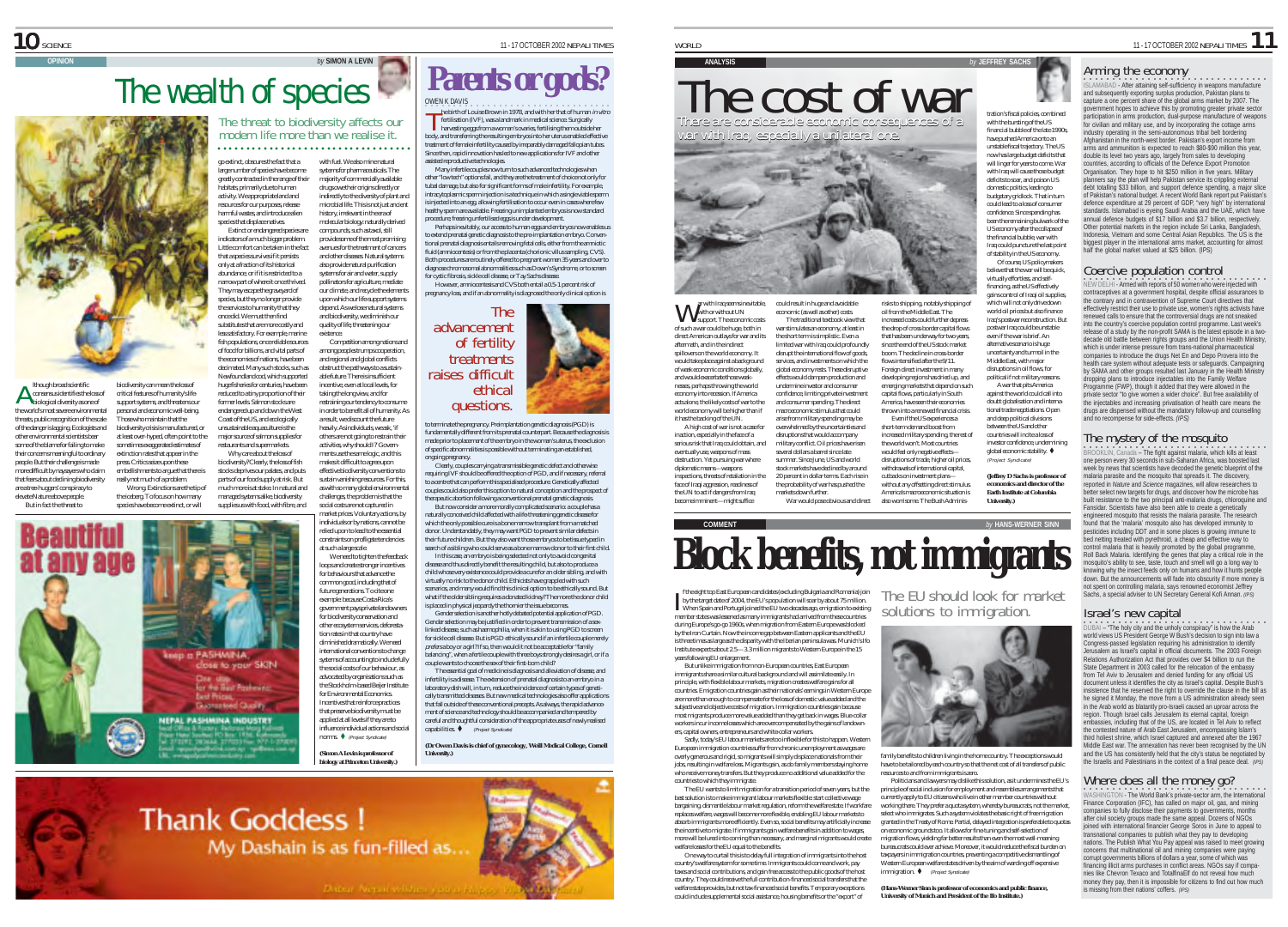lthough broad scientific A Ithough broad scientific<br>consensus identifies the loss of<br>biological diversity as one of the world's most severe environmental threats, public recognition of the scale of the danger is lagging. Ecologists and other environmental scientists bear some of the blame for failing to make their concerns meaningful to ordinary people. But their challenge is made more difficult by naysayers who claim that fears about declining biodiversity are a tree-huggers' conspiracy to elevate Nature above people. But in fact the threat to

### Arming the economy

**ISLAMABAD - After attaining self-sufficiency in weapons manufacture**<br>and subsequently exporting surplus production, Pakistan plans to capture a one percent share of the global arms market by 2007. The government hopes to achieve this by promoting greater private sector participation in arms production, dual-purpose manufacture of weapons for civilian and military use, and by incorporating the cottage arms industry operating in the semi-autonomous tribal belt bordering Afghanistan in the north-west border. Pakistan's export income from arms and ammunition is expected to reach \$80-\$90 million this year, double its level two years ago, largely from sales to developing countries, according to officials of the Defence Export Promotion Organisation. They hope to hit \$250 million in five years. Military planners say the plan will help Pakistan service its crippling external debt totalling \$33 billion, and support defence spending, a major slice of Pakistan's national budget. A recent World Bank report put Pakistan's defence expenditure at 29 percent of GDP, "very high" by international standards. Islamabad is eyeing Saudi Arabia and the UAE, which have annual defence budgets of \$17 billion and \$3.7 billion, respectively. Other potential markets in the region include Sri Lanka, Bangladesh, Indonesia, Vietnam and some Central Asian Republics. The US is the biggest player in the international arms market, accounting for almost half the global market valued at \$25 billion. (IPS)

### Coercive population control

•<br>NEW DELHI - Armed with reports of 50 women who were injected with contraceptives at a government hospital, despite official assurances to the contrary and in contravention of Supreme Court directives that effectively restrict their use to private use, women's rights activists have renewed calls to ensure that the controversial drugs are not sneaked into the country's coercive population control programme. Last week's release of a study by the non-profit SAMA is the latest episode in a twodecade old battle between rights groups and the Union Health Ministry, which is under intense pressure from trans-national pharmaceutical companies to introduce the drugs Net En and Depo Provera into the health care system without adequate tests or safeguards. Campaigning by SAMA and other groups resulted last January in the Health Ministry dropping plans to introduce injectables into the Family Welfare Programme (FWP), though it added that they were allowed in the private sector "to give women a wider choice". But free availability of the injectables and increasing privatisation of health care means the drugs are dispensed without the mandatory follow-up and counselling and no recompense for side-effects. *(IPS)*

The mystery of the mosquito<br>BROOKLIN, Canada – The fight against malaria, which kills at least<br>one person every 30 seconds in sub-Saharan Africa, was boosted last week by news that scientists have decoded the genetic blueprint of the malaria parasite and the mosquito that spreads it. The discovery, reported in *Nature* and *Science* magazines, will allow researchers to better select new targets for drugs, and discover how the microbe has built resistance to the two principal anti-malaria drugs, chloroquine and Fansidar. Scientists have also been able to create a genetically engineered mosquito that resists the malaria parasite. The research found that the 'malaria' mosquito also has developed immunity to pesticides including DDT and in some places is growing immune to bed netting treated with pyrethroid, a cheap and effective way to control malaria that is heavily promoted by the global programme, Roll Back Malaria. Identifying the genes that play a critical role in the mosquito's ability to see, taste, touch and smell will go a long way to knowing why the insect feeds only on humans and how it hunts people down. But the announcements will fade into obscurity if more money is not spent on controlling malaria, says renowned economist Jeffrey Sachs, a special adviser to UN Secretary General Kofi Annan. *(IPS)*

#### Israel's new capital

•<br>DUBAI – "The holy city and the unholy conspiracy" is how the Arab world views US President George W Bush's decision to sign into law a Congress-passed legislation requiring his administration to identify Jerusalem as Israel's capital in official documents. The 2003 Foreign Relations Authorization Act that provides over \$4 billion to run the State Department in 2003 called for the relocation of the embassy from Tel Aviv to Jerusalem and denied funding for any official US document unless it identifies the city as Israel's capital. Despite Bush's insistence that he reserved the right to override the clause in the bill as he signed it Monday, the move from a US administration already seen in the Arab world as blatantly pro-Israeli caused an uproar across the region. Though Israel calls Jerusalem its eternal capital, foreign embassies, including that of the US, are located in Tel Aviv to reflect the contested nature of Arab East Jerusalem, encompassing Islam's third holiest shrine, which Israel captured and annexed after the 1967 Middle East war. The annexation has never been recognised by the UN and the US has consistently held that the city's status be negotiated by the Israelis and Palestinians in the context of a final peace deal. *(IPS)*

# Where does all the money go?

WASHINGTON - The World Bank's private-sector arm, the International Finance Corporation (IFC), has called on major oil, gas, and mining companies to fully disclose their payments to governments, months after civil society groups made the same appeal. Dozens of NGOs joined with international financier George Soros in June to appeal to transnational companies to publish what they pay to developing nations. The Publish What You Pay appeal was raised to meet growing concerns that multinational oil and mining companies were paying corrupt governments billions of dollars a year, some of which was financing illicit arms purchases in conflict areas. NGOs say if companies like Chevron Texaco and TotalfinaElf do not reveal how much money they pay, then it is impossible for citizens to find out how much is missing from their nations' coffers. *(IPS)*

risks to shipping, notably shipping of tration's fiscal policies, combined with the bursting of the US financial bubble of the late 1990s, have pushed America onto an unstable fiscal trajectory. The US now has large budget deficits that will linger for years to come. War with Iraq will cause those budget deficits to soar, and poison US domestic politics, leading to budgetary gridlock. That in turn could lead to a loss of consumer confidence. Since spending has been the remaining bulwark of the US economy after the collapse of the financial bubble, war with Iraq could puncture the last point of stability in the US economy. Of course, US policymakers believe that the war will be quick, virtually effortless, and selffinancing, as the US effectively gains control of Iraqi oil supplies, which will not only drive down

**ANALYSIS** *by* **JEFFREY SACHS**

oil from the Middle East. The increased costs could further depress the drop of cross-border capital flows that has been underway for two years, since the end of the US stock market boom. The decline in cross-border flows intensified after the 9/11. Foreign direct investment in many developing regions has dried up, and emerging markets that depend on such capital flows, particularly in South America, have seen their economies thrown into a renewed financial crisis. Even if the US experiences a short-term demand boost from increased military spending, the rest of the world won't. Most countries world oil prices but also finance Iraq's postwar reconstruction. But postwar Iraq could be unstable even if the war is brief. An (Project Syndicate)

also worrisome. The Bush Adminis-*University.)*

# The EU should look for market



have to be tailored by each country so that the net cost of all transfers of public resources to and from immigrants is zero.

principle of social inclusion for employment and resembles arrangements that currently apply to EU citizens who live in other member countries without working there. They prefer a quota system, whereby bureaucrats, not the market, select who immigrates. Such a system violates the basic right of free migration on economic grounds too. It allows for fine-tuning and self-selection of migration flows, yielding far better results than even the most well-meaning bureaucrats could ever achieve. Moreover, it would reduce the fiscal burden on taxpayers in immigration countries, preventing a competitive dismantling of Western European welfare states driven by the aim of warding off expensive immigration.  $\bullet$  (Project Syndicate)

*University of Munich and President of the Ifo Institute.)*

The cost of war

There are considerable economic consequences of a war with Iraq, especially a unilateral one. There are considerable economic consequences of awar with Iraq, especially a unilateral one.



ar with Iraq seems inevitable, with or without UN support. The economic costs of such a war could be huge, both in W direct American outlays for war and its aftermath, and in the indirect spillovers on the world economy. It would take place against a background of weak economic conditions globally, and would exacerbate those weaknesses, perhaps throwing the world economy into recession. If America acts alone, the likely costs of war to the world economy will be higher than if it has the backing of the UN. A high cost of war is not a case for inaction, especially in the face of a serious risk that Iraq could obtain, and eventually use, weapons of mass destruction. Yet pursuing war where diplomatic means—weapons inspections, threats of retaliation in the face of Iraqi aggression, readiness of the UN to act if dangers from Iraq could result in huge and avoidable economic (as well as other) costs. The traditional textbook view that war stimulates an economy, at least in the short term is simplistic. Even a limited war with Iraq could profoundly disrupt the international flow of goods, services, and investments on which the global economy rests. These disruptive effects would dampen production and undermine investor and consumer confidence, limiting private investment and consumer spending. The direct macroeconomic stimulus that could arise from military spending may be overwhelmed by the uncertainties and disruptions that would accompany military conflict. Oil prices have risen several dollars a barrel since late

become imminent—might suffice markets down further.

# the probability of war has pushed the

**Block benefits, not immigrants** *by* HANS-WERNER SINN

f the eight top East European candidates (excluding Bulgaria and Romania) join by the target date of 2004, the EU's population will soar by about 75 million. When Spain and Portugal joined the EU two decades ago, emigration to existing member states was lessened as many immigrants had arrived from these countries during Europe's go-go 1960s, when migration from Eastern Europe was blocked by the Iron Curtain. Now the income gap between Eastern applicants and the EU is three times as large as the disparity with the Iberian peninsula was. Munich's Ifo Institute expects about 2.5—3.3 million migrants to Western Europe in the 15 years following EU enlargement.

I

But unlike immigration from non-European countries, East European immigrants share a similar cultural background and will assimilate easily. In principle, with flexible labour markets, migration creates welfare gains for all countries. Emigration countries gain as their nationals' earnings in Western Europe are more than enough to compensate for the loss of domestic value added and the subjective and objective costs of migration. Immigration countries gain because most migrants produce more value added than they get back in wages. Blue-collar workers incur income losses which are overcompensated by the gains of landowners, capital owners, entrepreneurs and white-collar workers.

Sadly, today's EU labour markets are too inflexible for this to happen. Western European immigration countries suffer from chronic unemployment as wages are overly generous and rigid, so migrants will simply displace nationals from their jobs, resulting in welfare loss. Migrants gain, as do family members staying home who receive money transfers. But they produce no additional value added for the countries to which they immigrate.

The EU wants to limit migration for a transition period of seven years, but the best solution is to make immigrant labour markets flexible: start collective wage bargaining, dismantle labour market regulation, reform the welfare state. If workfare replaces welfare, wages will become more flexible, enabling EU labour markets to absorb immigrants more efficiently. Even so, social benefits may artificially increase the incentive to migrate. If immigrants gain welfare benefits in addition to wages, more will be lured into coming than necessary, and marginal migrants would create welfare losses for the EU equal to the benefits.

One way to curtail this is to delay full integration of immigrants into the host country's welfare system for some time. Immigrants could come and work, pay taxes and social contributions, and gain free access to the public goods of the host country. They could receive the full contribution-financed social transfers that the welfare state provides, but not tax-financed social benefits. Temporary exceptions could include supplemental social assistance, housing benefits or the "export" of



family benefits to children living in the home country. The exceptions would

Politicians and lawyers may dislike this solution, as it undermines the EU's

granted in the Treaty of Rome. Partial, delayed integration is preferable to quotas

*(Hans-Werner Sinn is professor of economics and public finance,*





alternative scenario is huge uncertainty and turmoil in the Middle East, with major disruptions in oil flows, for political if not military reasons. A war that pits America against the world could call into doubt globalisation and international trade negotiations. Open and deep political divisions between the US and other countries will incite a loss of

investor confidence, undermining global economic stability.  $\bullet$ 



withdrawals of international capital, cutbacks on investment plans without any offsetting direct stimulus. America's macroeconomic situation is

disruptions of trade, higher oil prices, summer. Since June, US and world stock markets have declined by around 20 percent in dollar terms. Each rise in





biodiversity can mean the loss of critical features of humanity's lifesupport systems, and threatens our personal and economic well-being. Those who maintain that the biodiversity crisis is manufactured, or at least over-hyped, often point to the sometimes exaggerated estimates of extinction rates that appear in the press. Critics seize upon these embellishments to argue that there is really not much of a problem. Wrong. Extinctions are the tip of the iceberg. To focus on how many species have become extinct, or will

> eep a PASHMINA, close to your SKIN or the Gua Pashward **Guaranteed Quality** NEPAL PASHMINA INDUSTRY

**Thank Goddess I** 

go extinct, obscures the fact that a large number of species have become greatly contracted in the range of their habitats, primarily due to human activity. We appropriate land and resources for our purposes, release harmful wastes, and introduce alien species that displace natives. with fuel. We also mine natural systems for pharmaceuticals. The majority of commercially available drugs owe their origins directly or indirectly to the diversity of plant and microbial life. This is not just ancient history, irrelevant in the era of molecular biology: naturally derived

**The wealth of species Parents or gods?** 

○○○○○○○○○○○○○○○ ○○○○○○○○○○○○○○○○○○○

Extinct or endangered species are indicators of a much bigger problem. Little comfort can be taken in the fact that a species survives if it persists only at a fraction of its historical abundance, or if it is restricted to a narrow part of where it once thrived. They may escape the graveyard of species, but they no longer provide compounds, such as taxol, still provide some of the most promising avenues for the treatment of cancers and other diseases. Natural systems also provide natural purification systems for air and water, supply pollinators for agriculture, mediate our climate, and recycle the elements upon which our life-support systems

the services to humanity that they once did. We must then find substitutes that are more costly and less satisfactory. For example, marine fish populations, once reliable sources of food for billions, and vital parts of depend. As we lose natural systems and biodiversity, we diminish our quality of life, threatening our existence. among peoples trumps cooperation.

the economies of nations, have been decimated. Many such stocks, such as Newfoundland cod, which supported huge fisheries for centuries, have been reduced to a tiny proportion of their former levels. Salmon stocks are endangered up and down the West Coast of the US, and ecologically unsustainable aquaculture is the major source of salmon supplies for restaurants and supermarkets. Why care about the loss of biodiversity? Clearly, the loss of fish stocks deprives our palates, and puts parts of our food supply at risk. But obstruct the pathways to a sustainable future. There is insufficient incentive, even at local levels, for taking the long view, and for

much more is at stake. In natural and managed systems alike, biodiversity supplies us with food, with fibre, and

at such a large scale.

loops and create stronger incentives for behaviours that advance the common good, including that of future generations. To cite one example: because Costa Rica's government pays private landowners for biodiversity conservation and other ecosystem services, deforestation rates in that country have diminished dramatically. We need international conventions to change

for Environmental Economics. applied at all levels if they are to influence individual actions and social

norms.  $\blacklozenge$  (Project Syndicate)

*biology at Princeton University.)*

harvesting eggs from a woman's ovaries, fertilising them outside her body, and transferring the resulting embryos into her uterus enabled effective treatment of female infertility caused by irreparably damaged fallopian tubes. Since then, rapid innovation has led to new applications for IVF and other assisted reproductive technologies. Many infertile couples now turn to such advanced technologies when other "low tech" options fail, and they are the treatment of choice not only for tubal damage, but also for significant forms of male infertility. For example, The threat to biodiversity affects our  $\prod_{\text{body}}$ 

intracytoplasmic sperm injection is a technique in which a single viable sperm is injected into an egg, allowing fertilisation to occur even in cases where few healthy sperm are available. Freezing unimplanted embryos is now standard procedure; freezing unfertilised eggs is under development. Perhaps inevitably, our access to human eggs and embryos now enables us

OWEN K DAVIS<br>
The birth of Louise Brown in 1978, and with her that of human *in vitro* fertilisation (IVF), was a landmark in medical science. Surgically

to extend prenatal genetic diagnosis to the pre-implantation embryo. Conventional prenatal diagnosis entails removing fetal cells, either from the amniotic fluid (amniocentesis) or from the placenta (chorionic villus sampling, CVS). Both procedures are routinely offered to pregnant women 35 years and over to diagnose chromosomal abnormalities such as Down's Syndrome, or to screen for cystic fibrosis, sickle cell disease, or Tay Sachs disease.

However, amniocentesis and CVS both entail a 0.5-1 percent risk of pregnancy loss, and if an abnormality is diagnosed the only clinical option is

The

to terminate the pregnancy. Preimplantation genetic diagnosis (PGD) is fundamentally different from its prenatal counterpart. Because the diagnosis is made prior to placement of the embryo in the woman's uterus, the exclusion of specific abnormalities is possible without terminating an established,

ethical

Clearly, couples carrying a transmissible genetic defect and otherwise requiring IVF should be offered the option of PGD, and if necessary, referral to a centre that can perform this specialised procedure. Genetically affected couples could also prefer this option to natural conception and the prospect of therapeutic abortion following a conventional prenatal genetic diagnosis. But now consider a more morally complicated scenario: a couple has a naturally conceived child affected with a life-threatening genetic disease for which the only possible cure is a bone marrow transplant from a matched donor. Understandably, they may want PGD to prevent similar defects in their future children. But they also want those embryos to be tissue typed in search of a sibling who could serve as a bone marrow donor to their first child. In this case, an embryo is being selected not only to avoid congenital disease and thus directly benefit the resulting child, but also to produce a child whose very existence could provide a cure for an older sibling, and with virtually no risk to the donor child. Ethicists have grappled with such scenarios, and many would find this clinical option to be ethically sound. But what if the older sibling requires a donated kidney? The more the donor child is placed in physical jeopardy the thornier the issue becomes. Gender selection is another hotly debated potential application of PGD. Gender selection may be justified in order to prevent transmission of a sexlinked disease, such as haemophilia, when it is akin to using PGD to screen for sickle cell disease. But is PGD ethically sound if an infertile couple merely prefers a boy or a girl? If so, then would it not be acceptable for "family balancing", when a fertile couple with three boys strongly desires a girl, or if a couple wants to choose the sex of their first-born child? The essential goal of medicine is diagnosis and alleviation of disease, and infertility is a disease. The extension of prenatal diagnosis to an embryo in a

Competition among nations and and regional and global conflicts restraining our tendency to consume advancement of fertility **treatments** raises difficult questions.

ongoing pregnancy.

in order to benefit all of humanity. As a result, we discount the future heavily. As individuals, we ask, 'if others are not going to restrain their activities, why should I?' Governments use the same logic, and this makes it difficult to agree upon effective biodiversity conventions to sustain vanishing resources. For this, as with so many global environmental challenges, the problem is that the social costs are not captured in

market prices. Voluntary actions, by ndividuals or by nations, cannot be relied upon to lead to the essential constraints on profligate tendencies

We need to tighten the feedback

systems of accounting to include fully the social costs of our behaviour, as advocated by organisations such as the Stockholm-based Beijer Institute Incentives that reinforce practices that preserve biodiversity must be

*(Simon A Levin is professor of*

#### laboratory dish will, in turn, reduce the incidence of certain types of genetically transmitted diseases. But new medical technologies also offer applications that fall outside of these conventional precepts. As always, the rapid advancement of science and technology should be accompanied and tempered by careful and thoughtful consideration of the appropriate uses of newly realised capabilities.  $\blacklozenge$  (Project Syndicate) *(Dr Owen Davis is chief of gynecology, Weill Medical College, Cornell*

My Dashain is as fun-filled as...

*University.)*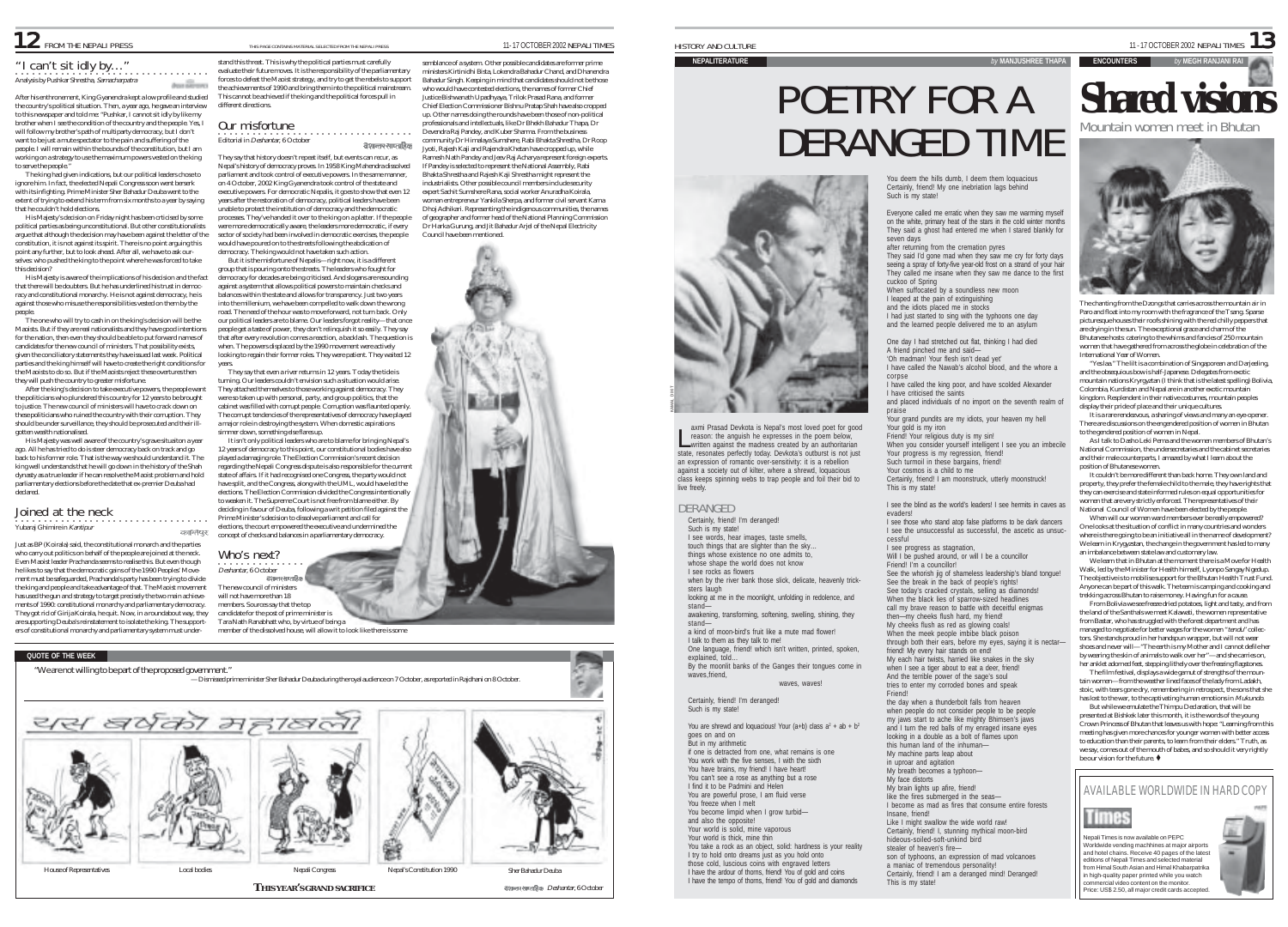# 12 FROM THE NEPALI PRESS THIS PAGE CONTAINS MATERIAL SELECTED FROM THE NEPALI PRESS 2002NEPALI TIMES

# "I can't sit idly by…"

Analysis by Pushkar Shrestha, Samacharpatra an illinoo

After his enthronement, King Gyanendra kept a low profile and studied the country's political situation. Then, a year ago, he gave an interview to this newspaper and told me: "Pushkar, I cannot sit idly by like my brother when I see the condition of the country and the people. Yes, I will follow my brother's path of multiparty democracy, but I don't want to be just a mute spectator to the pain and suffering of the people. I will remain within the bounds of the constitution, but I am working on a strategy to use the maximum powers vested on the king to serve the people.

The king had given indications, but our political leaders chose to ignore him. In fact, the elected Nepali Congress soon went berserk with its infighting. Prime Minister Sher Bahadur Deuba went to the extent of trying to extend his term from six months to a year by saying that he couldn't hold elections.

His Majesty's decision on Friday night has been crticised by some political parties as being unconstitutional. But other constitutionalists argue that although the decision may have been against the letter of the constitution, it is not against its spirit. There is no point arguing this point any further, but to look ahead. After all, we have to ask ourselves: who pushed the king to the point where he was forced to take this decision?

His Majesty is aware of the implications of his decision and the fact that there will be doubters. But he has underlined his trust in democracy and constitutional monarchy. He is not against democracy, he is against those who misuse the responsibilities vested on them by the people.

The one who will try to cash in on the king's decision will be the Maoists. But if they are real nationalists and they have good intentions for the nation, then even they should be able to put forward names of candidates for the new council of ministers. That possibility exists, given the conciliatory statements they have issued last week. Political parties and the king himself will have to create the right conditions for the Maoists to do so. But if the Maoists reject these overtures then they will push the country to greater misfortune.

After the king's decision to take executive powers, the people want the politicians who plundered this country for 12 years to be brought to justice. The new council of ministers will have to crack down on these politicians who ruined the country with their corruption. They should be under surveillance, they should be prosecuted and their illgotten wealth nationalised.

His Majesty was well aware of the country's grave situaiton a year ago. All he has tried to do is steer democracy back on track and go back to his former role. That is the way we should understand it. The king well understands that he will go down in the history of the Shah dynasty as a true leader if he can resolve the Maoist problem and hold parliamentary elections before the date that ex-premier Deuba had declared.

#### ○○○○○○○○○○○○○○○○○○○○○○○○○○○○○○○○○○ Joined at the neck Yubaraj Ghimire in Kantipur

**QUOTE OF THE WEEK**

Just as BP (Koirala) said, the constitutional monarch and the parties who carry out politics on behalf of the people are joined at the neck. Even Maoist leader Prachanda seems to realise this. But even though he likes to say that the democratic gains of the 1990 Peoples' Movement must be safeguarded, Prachanda's party has been trying to divide the king and people and take advantage of that. The Maoist movement has used the gun and strategy to target precisely the two main achievements of 1990: constitutional monarchy and parliamentary democracy. They got rid of Girija Koirala, he quit. Now, in a roundabout way, they are supporting Deuba's reinstatement to isolate the king. The supporters of constitutional monarchy and parliamentary system must under-

stand this threat. This is why the political parties must carefully evaluate their future moves. It is the responsibility of the parliamentary forces to defeat the Maoist strategy, and try to get the rebels to support the achievements of 1990 and bring them into the political mainstream. This cannot be achieved if the king and the political forces pull in different directions.

# ○○○○○○○○○○○○○○○○○○○○○○○○○○○○○○○○○○ Our misfortune

Editorial in Deshantar, 6 October

They say that history doesn't repeat itself, but events can recur, as Nepal's history of democracy proves. In 1958 King Mahendra dissolved parliament and took control of executive powers. In the same manner, on 4 October, 2002 King Gyanendra took control of the state and executive powers. For democratic Nepalis, it goes to show that even 12 years after the restoration of democracy, political leaders have been unable to protect the institution of democracy and the democratic processes. They've handed it over to the king on a platter. If the people were more democratically aware, the leaders more democratic, if every sector of society had been involved in democratic exercises, the people would have poured on to the streets following the abdication of

democracy. The king would not have taken such action. But it is the misfortune of Nepalis—right now, it is a different

group that is pouring onto the streets. The leaders who fought for democracy for decades are being criticised. And slogans are resounding against a system that allows political powers to maintain checks and balances within the state and allows for transparency. Just two years into the millenium, we have been compelled to walk down the wrong road. The need of the hour was to move forward, not turn back. Only our political leaders are to blame. Our leaders forgot reality—that once people get a taste of power, they don't relinquish it so easily. They say that after every revolution comes a reaction, a backlash. The question is when. The powers displaced by the 1990 movement were actively looking to regain their former roles. They were patient. They waited 12

years. They say that even a river returns in 12 years. Today the tide is turning. Our leaders couldn't envision such a situation would arise. They attached themselves to those working against democracy. They were so taken up with personal, party, and group politics, that the cabinet was filled with corrupt people. Corruption was flaunted openly. The corrupt tendencies of the representatives of democracy have played a major role in destroying the system. When domestic aspirations simmer down, something else flares up.

It isn't only political leaders who are to blame for bringing Nepal's 12 years of democracy to this point, our constitutional bodies have also played a damaging role. The Election Commission's recent decision regarding the Nepali Congress dispute is also responsible for the current state of affairs. If it had recognised one Congress, the party would not have split, and the Congress, along with the UML, would have led the elections. The Election Commission divided the Congress intentionally to weaken it. The Supreme Court is not free from blame either. By deciding in favour of Deuba, following a writ petition filed against the Prime Minister's decision to dissolve parliament and call for elections, the court empowered the executive and undermined the concept of checks and balances in a parliamentary democracy.

Who's next? **Deshantar, 6 October** 

कालियर

The new council of ministers will not have more than 18 members. Sources say that the top candidate for the post of prime minister is



Tara Nath Ranabhatt who, by virtue of being a

"We are not willing to be part of the proposed government." — Dismissed prime minister Sher Bahadur Deuba during the royal audience on 7 October, as reported in Rajdhani on 8 October. यस बर्षका महाबला House of Representatives Local bodies Nepali Congress Nepal's Constitution 1990 Sher Bahadur Deuba **THIS YEAR'S GRAND SACRIFICE Example 2018 12 assumption**  $D$  estantar, 6 October  $\frac{1}{11}$  -17 OCTOBER 2002 NEPALI TIMES  $\mathbf{13}$ 

#### **NEPALITERATURE** *by* **MANJUSHREE THAPA**

# POETRY FOR A DERANGED TIME



axmi Prasad Devkota is Nepal's most loved poet for good reason: the anguish he expresses in the poem below, axmi Prasad Devkota is Nepal's most loved poet for good reason: the anguish he expresses in the poem below,<br>written against the madness created by an authoritarian state, resonates perfectly today. Devkota's outburst is not just an expression of romantic over-sensitivity: it is a rebellion against a society out of kilter, where a shrewd, loquacious class keeps spinning webs to trap people and foil their bid to live freely.

### DERANGED

Such is my state! I see words, hear images, taste smells, touch things that are slighter than the sky… things whose existence no one admits to, whose shape the world does not know I see rocks as flowers when by the river bank those slick, delicate, heavenly tricksters laugh looking at me in the moonlight, unfolding in redolence, and stand awakening, transforming, softening, swelling, shining, they stand a kind of moon-bird's fruit like a mute mad flower! I talk to them as they talk to me! One language, friend! which isn't written, printed, spoken, explained, told… By the moonlit banks of the Ganges their tongues come in waves,friend, wayes, wayes! Certainly, friend! I'm deranged! Such is my state! You are shrewd and loquacious! Your (a+b) class  $a^2 + ab + b^2$ goes on and on But in my arithmetic if one is detracted from one, what remains is one You work with the five senses, I with the sixth You take a rock as an object, solid: hardness is your reality I try to hold onto dreams just as you hold onto

those cold, luscious coins with engraved letters I have the ardour of thorns, friend! You of gold and coins I have the tempo of thorns, friend! You of gold and diamonds

You deem the hills dumb, I deem them loquacious Certainly, friend! My one inebriation lags behind Such is my state!

Everyone called me erratic when they saw me warming myself on the white, primary heat of the stars in the cold winter months They said a ghost had entered me when I stared blankly for seven days after returning from the cremation pyres

They said I'd gone mad when they saw me cry for forty days seeing a spray of forty-five year-old frost on a strand of your hair They called me insane when they saw me dance to the first cuckoo of Spring

When suffocated by a soundless new moon I leaped at the pain of extinguishing and the idiots placed me in stocks I had just started to sing with the typhoons one day and the learned people delivered me to an asylum

One day I had stretched out flat, thinking I had died A friend pinched me and said— 'Oh madman! Your flesh isn't dead yet'

I have called the Nawab's alcohol blood, and the whore a corpse I have called the king poor, and have scolded Alexander

I have criticised the saints and placed individuals of no import on the seventh realm of

praise Your grand pundits are my idiots, your heaven my hell Your gold is my iron Friend! Your religious duty is my sin! When you consider yourself intelligent I see you an imbecile Your progress is my regression, friend! Such turmoil in these bargains, friend! Your cosmos is a child to me Certainly, friend! I am moonstruck, utterly moonstruck!

I see the blind as the world's leaders! I see hermits in caves as evaders! I see those who stand atop false platforms to be dark dancers

I see the unsuccessful as successful, the ascetic as unsuccessful I see progress as stagnation, Will I be pushed around, or will I be a councillor Friend! I'm a councillor! See the whorish jig of shameless leadership's bland tongue! See the break in the back of people's rights! See today's cracked crystals, selling as diamonds When the black lies of sparrow-sized headlines call my brave reason to battle with deceitful enigmas then—my cheeks flush hard, my friend! My cheeks flush as red as glowing coals! When the meek people imbibe black poison through both their ears, before my eyes, saying it is nectarfriend! My every hair stands on end! My each hair twists, harried like snakes in the sky when I see a tiger about to eat a deer, friend! And the terrible power of the sage's soul tries to enter my corroded bones and speak Friend! the day when a thunderbolt falls from heaven when people do not consider people to be people my jaws start to ache like mighty Bhimsen's jaws

and I turn the red balls of my enraged insane eyes looking in a double as a bolt of flames upon this human land of the inhuman— My machine parts leap about in uproar and agitation My breath becomes a typhoon— My face distorts My brain lights up afire, friend! like the fires submerged in the seas— I become as mad as fires that consume entire forests Insane, friend! Like I might swallow the wide world raw! Certainly, friend! I, stunning mythical moon-bird hideous-soiled-soft-unkind bird stealer of heaven's fireson of typhoons, an expression of mad volcanoes a maniac of tremendous personality! Certainly, friend! I am a deranged mind! Deranged! This is my state!



**ENCOUNTERS** *by* **MEGH RANJANI RAI**

The chanting from the Dzongs that carries across the mountain air in Paro and float into my room with the fragrance of the Tsang. Sparse picturesque houses their roofs shining with the red chilly peppers that are drying in the sun. The exceptional grace and charm of the Bhutanese hosts: catering to the whims and fancies of 250 mountain women that have gathered from across the globe in celebration of the International Year of Women.

"Yes laa." The lilt is a combination of Singaporean and Darjeeling, and the obsequious bow is half-Japanese. Delegates from exotic mountain nations Kryrgyztan (I think that is the latest spelling) Bolivia, Colombia, Kurdistan and Nepal are in another exotic mountain kingdom. Resplendent in their native costumes, mountain peoples display their pride of place and their unique cultures.

It is a rare rendezvous, a sharing of views and many an eye-opener. There are discussions on the engendered position of women in Bhutan to the gendered position of women in Nepal.

As I talk to Dasho Leki Pema and the women members of Bhutan's National Commission, the undersecretaries and the cabinet secretaries and their male counterparts, I amazed by what I learn about the position of Bhutanese women.

It couldn't be more different than back home. They own land and property, they prefer the female child to the male, they have rights that they can exercise and state informed rules on equal opportunities for women that are very strictly enforced. The representatives of their National Council of Women have been elected by the people.

When will our women ward members ever be really empowered? One looks at the situation of conflict in many countries and wonders where is there going to be an initiative all in the name of development? We learn in Krygyzstan, the change in the government has led to many an imbalance between state law and customary law.

We learn that in Bhutan at the moment there is a Move for Health Walk, led by the Minister for Health himself. Lyonpo Sangay Ngedup. The objective is to mobilise support for the Bhutan Health Trust Fund. Anyone can be part of this walk. The team is camping and cooking and

trekking across Bhutan to raise money. Having fun for a cause. From Bolivia we see freeze dried potatoes, light and tasty, and from the land of the Santhals we meet Kalawati, the women representative from Bastar, who has struggled with the forest department and has managed to negotiate for better wages for the women "tendu" collectors. She stands proud in her handspun wrapper, but will not wear shoes and never will—"The earth is my Mother and I cannot defile her by wearing the skin of animals to walk over her"—and she carries on, her anklet adorned feet, stepping lithely over the freezing flagstones.

The film festival, displays a wide gamut of strengths of the mountain women—from the weather lined faces of the lady from Ladakh, stoic, with tears gone dry, remembering in retrospect, the sons that she has lost to the war, to the captivating human emotions in Mukundo.

But while we emulate the Thimpu Declaration, that will be presented at Bishkek later this month, it is the words of the young Crown Princess of Bhutan that leaves us with hope: "Learning from this meeting has given more chances for younger women with better access to education than their parents, to learn from their elders." Truth, as we say, comes out of the mouth of babes, and so should it very rightly be our vision for the future.  $\blacklozenge$ 

# AVAILABLE WORLDWIDE IN HARD COPY



Nepali Times is now available on PEPC Worldwide vending machhines at major airports and hotel chains. Receive 40 pages of the latest editions of Nepali Times and selected material from Himal South Asian and Himal Khabarpatrika in high-quality paper printed while you watch commercial video content on the monitor. Price: US\$ 2.50, all major credit cards accepted.

Times



This is my state!

Certainly, friend! I'm deranged!

You have brains, my friend! I have heart! You can't see a rose as anything but a rose I find it to be Padmini and Helen You are powerful prose, I am fluid verse You freeze when I melt You become limpid when I grow turbidand also the opposite! Your world is solid, mine vaporous Your world is thick, mine thin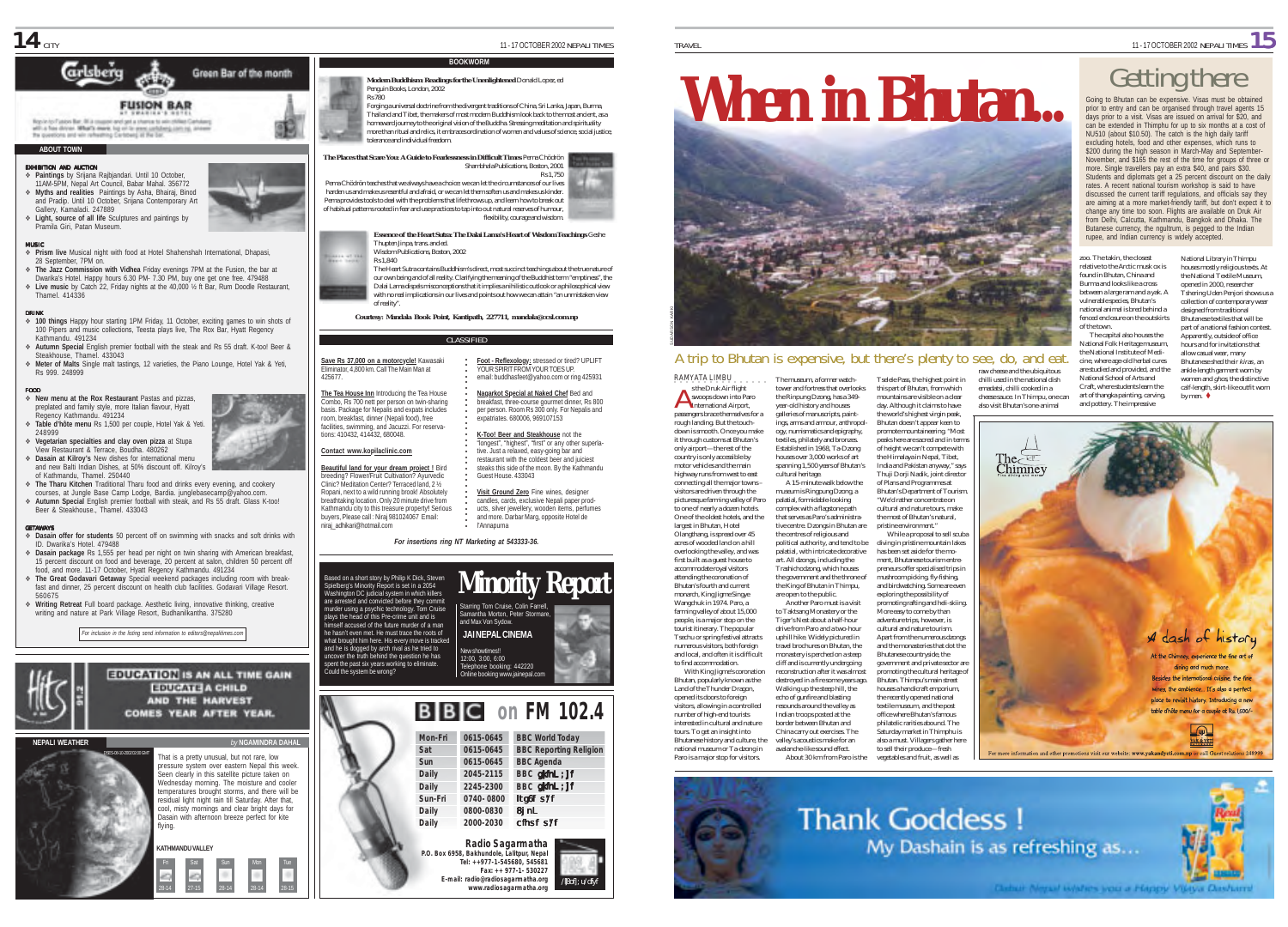

#### **ABOUT TOWN**

#### EXHIBITION AND AUCTION

- % **Paintings** by Srijana Rajbjandari. Until 10 October, 11AM-5PM, Nepal Art Council, Babar Mahal. 356772 % **Myths and realities** Paintings by Asha, Bhairaj, Binod and Pradip. Until 10 October, Srijana Contemporary Art Gallery, Kamaladi. 247889
- % **Light, source of all life** Sculptures and paintings by Pramila Giri, Patan Museum.

#### MUSIC

- % **Prism live** Musical night with food at Hotel Shahenshah International, Dhapasi, 28 September, 7PM on.
- % **The Jazz Commission with Vidhea** Friday evenings 7PM at the Fusion, the bar at Dwarika's Hotel. Happy hours 6.30 PM- 7.30 PM, buy one get one free. 479488 % **Live music** by Catch 22, Friday nights at the 40,000 ½ ft Bar, Rum Doodle Restaurant, Thamel. 414336

#### DRINK

- % **100 things** Happy hour starting 1PM Friday, 11 October, exciting games to win shots of 100 Pipers and music collections, Teesta plays live, The Rox Bar, Hyatt Regency Kathmandu. 491234
- % **Autumn Special** English premier football with the steak and Rs 55 draft. K-too! Beer & Steakhouse, Thamel. 433043
- % **Meter of Malts** Single malt tastings, 12 varieties, the Piano Lounge, Hotel Yak & Yeti, Rs 999. 248999

#### FOOD % **New menu at the Rox Restaurant** Pastas and pizzas,

- preplated and family style, more Italian flavour, Hyatt Regency Kathmandu. 491234 % **Table d'hôte menu** Rs 1,500 per couple, Hotel Yak & Yeti.
- 248999 % **Vegetarian specialties and clay oven pizza** at Stupa View Restaurant & Terrace, Boudha. 480262
- % **Dasain at Kilroy's** New dishes for international menu
- and new Balti Indian Dishes, at 50% discount off. Kilroy's of Kathmandu, Thamel. 250440
- % **The Tharu Kitchen** Traditional Tharu food and drinks every evening, and cookery courses, at Jungle Base Camp Lodge, Bardia. junglebasecamp@yahoo.com. % **Autumn Special** English premier football with steak, and Rs 55 draft. Glass K-too! Beer & Steakhouse., Thamel. 433043

#### GETAWAYS

- % **Dasain offer for students** 50 percent off on swimming with snacks and soft drinks with ID. Dwarika's Hotel. 479488
- % **Dasain package** Rs 1,555 per head per night on twin sharing with American breakfast, 15 percent discount on food and beverage, 20 percent at salon, children 50 percent off food, and more. 11-17 October, Hyatt Regency Kathmandu. 491234
- % **The Great Godavari Getaway** Special weekend packages including room with breakfast and dinner, 25 percent discount on health club facilities. Godavari Village Resort. 560675
- % **Writing Retreat** Full board package. Aesthetic living, innovative thinking, creative writing and nature at Park Village Resort, Budhanilkantha. 375280

*For inclusion in the listing send information to editors@nepalitimes.com*



28-14 27-15 28-14 28-14 28-15

**Modern Buddhism: Readings for the Unenlightened** Donald Lopez, ed Penguin Books, London, 2002 Rs 780

Forging a universal doctrine from the divergent traditions of China, Sri Lanka, Japan, Burma, Thailand and Tibet, the makers of most modern Buddhism look back to the most ancient, as a homeward journey to the original vision of the Buddha. Stressing meditation and spirituality more than ritual and relics, it embraces ordination of women and values of science, social justice, tolerance and individual freedom.

**BOOKWORM**



### Thupten Jinpa, trans. and ed.

Wisdom Publications, Boston, 2002 Rs 1,840

The Heart Sutra contains Buddhism's direct, most succinct teachings about the true nature of our own being and of all reality. Clarifying the meaning of the Buddhist term "emptiness", the Dalai Lama dispels misconceptions that it implies a nihilistic outlook or a philosophical view with no real implications in our lives and points out how we can attain "an unmistaken view of reality".

*Courtesy: Mandala Book Point, Kantipath, 227711, mandala@ccsl.com.np*

#### CLASSIFIED

**Save Rs 37,000 on a motorcycle!** Kawasaki Eliminator, 4,800 km. Call The Main Man at ○○○○○○○○○○○○○○ The Charles Constant Constant Charles Constant Charles Constant Charles Constant Charles Charles Charles Charles Charles Charles Charles Charles Charles Charles Charles Charles Charles Charles Charles Charles Charles Charl

**The Tea House Inn** Introducing the Tea House Combo, Rs 700 nett per person on twin-sharing basis. Package for Nepalis and expats includes room, breakfast, dinner (Nepali food), free facilities, swimming, and Jacuzzi. For reservations: 410432, 414432, 680048.

# **Contact www.kopilaclinic.com**

425677.

**Beautiful land for your dream project !** Bird breeding? Flower/Fruit Cultivation? Ayurvedic Clinic? Meditation Center? Terraced land, 2 ½ Ropani, next to a wild running brook! Absolutely breathtaking location. Only 20 minute drive from Kathmandu city to this treasure property**!** Serious buyers, Please call : Niraj 981024067 Email: niraj\_adhikari@hotmail.com



Based on a short story by Philip K Dick, Steven Spielberg's Minority Report is set in a 2054 Washington DC judicial system in which killers are arrested and convicted before they commit murder using a psychic technology. Tom Cruise plays the head of this Pre-crime unit and is himself accused of the future murder of a man hasn't even met. He must trace the roots of New showtimes!! 12:00, 3:00, 6:00 hone booking: 442220 Online booking www.jainepal.com **Minority Report JAI NEPAL CINEMA** Starring Tom Cruise, Colin Farrell, my Tom Cruise, Comme<br>antha Morton, Peter Stor and Max Von Sydow.





# A trip to Bhutan is expensive, but there's plenty to see, do, and eat.

RAMYATA LIMBU **A** s the Druk Air flight swoops down into Paro s the Druk Air flight<br>
swoops down into Pa<br>
International Airport, passengers brace themselves for a rough landing. But the touchdown is smooth. Once you make it through customs at Bhutan's only airport—the rest of the country is only accessible by motor vehicles and the main highway runs from west to east connecting all the major towns – visitors are driven through the picturesque farming valley of Paro to one of nearly a dozen hotels. One of the oldest hotels, and the largest in Bhutan, Hotel

Olangthang, is spread over 45 acres of wooded land on a hill overlooking the valley, and was first built as a guest house to accommodate royal visitors attending the coronation of Bhutan's fourth and current monarch, King Jigme Singye Wangchuk in 1974. Paro, a farming valley of about 15,000 people, is a major stop on the tourist itinerary. The popular

Bhutanese history and culture, the national museum or Ta-dzong in Paro is a major stop for visitors.

uphill hike. Widely pictured in travel brochures on Bhutan, the monastery is perched on a steep cliff and is currently undergoing reconstruction after it was almost destroyed in a fire some years ago.

Walking up the steep hill, the echo of gunfire and blasting resounds around the valley as Indian troops posted at the border between Bhutan and China carry out exercises. The valley's acoustics make for an avalanche-like sound effect.

India and Pakistan anyway," says Thuji Dorji Nadik, joint director of Plans and Programmes at Bhutan's Department of Tourism. "We'd rather concentrate on cultural and nature tours, make the most of Bhutan's natural, pristine environment." While a proposal to sell scuba diving in pristine mountain lakes has been set aside for the moment, Bhutanese tourism entrepreneurs offer specialised trips in mushroom picking, fly-fishing,

and birdwatching. Some are even exploring the possibility of promoting rafting and heli-skiing. More easy to come by than adventure trips, however, is cultural and nature tourism. Apart from the numerous dzongs and the monasteries that dot the Bhutanese countryside, the government and private sector are promoting the cultural heritage of Bhutan. Thimpu's main street houses a handicraft emporium, the recently opened national textile museum, and the post office where Bhutan's famous philatelic rarities abound. The Saturday market in Thimphu is

also a must. Villagers gather here to sell their produce—fresh

Tselele Pass, the highest point in this part of Bhutan, from which mountains are visible on a clear emadatsi, chilli cooked in a

chilli used in the national dish also visit Bhutan's one-animal











TRAVEL **TRAVEL** 

Going to Bhutan can be expensive. Visas must be obtained prior to entry and can be organised through travel agents 15 days prior to a visit. Visas are issued on arrival for \$20, and can be extended in Thimphu for up to six months at a cost of NU510 (about \$10.50). The catch is the high daily tariff excluding hotels, food and other expenses, which runs to \$200 during the high season in March-May and September-November, and \$165 the rest of the time for groups of three or more. Single travellers pay an extra \$40, and pairs \$30. Students and diplomats get a 25 percent discount on the daily rates. A recent national tourism workshop is said to have discussed the current tariff regulations, and officials say they are aiming at a more market-friendly tariff, but don't expect it to change any time too soon. Flights are available on Druk Air from Delhi, Calcutta, Kathmandu, Bangkok and Dhaka. The Butanese currency, the ngultrum, is pegged to the Indian rupee, and Indian currency is widely accepted.

zoo. The takin, the closest relative to the Arctic musk ox is found in Bhutan, China and Burma and looks like a cross between a large ram and a yak. A vulnerable species, Bhutan's national animal is bred behind a fenced enclosure on the outskirts of the town.

The capital also houses the National Folk Heritage museum, the National Institute of Medicine, where age-old herbal cures are studied and provided, and the National School of Arts and Craft, where students learn the art of thangka painting, carving, and pottery. The impressive

collection of contemporary wear designed from traditional Bhutanese textiles that will be part of a national fashion contest. Apparently, outside of office hours and for invitations that allow casual wear, many Bhutanese shed their *kiras* , an

National Library in Thimpu houses mostly religious texts. At the National Textile Museum, opened in 2000, researcher Tshering Uden Penjori shows us a

ankle-length garment worn by women and *ghos*, the distinctive calf-length, skirt-like outfit worn by men.  $\bullet$ 

**VAK & VELL** 

tower and fortress that overlooks the Rinpung Dzong, has a 349- year-old history and houses galleries of manuscripts, paintings, arms and armour, anthropology, numismatics and epigraphy, textiles, philately and bronzes. Established in 1968, Ta-Dzong houses over 3,000 works of art spanning 1,500 years of Bhutan's cultural heritage. A 15-minute walk below the museum is Ringpung Dzong, a

The museum, a former watch-

palatial, formidable-looking complex with a flagstone path that serves as Paro's administrative centre. Dzongs in Bhutan are the centres of religious and political authority, and tend to be palatial, with intricate decorative art. All dzongs, including the

visitors, allowing in a controlled number of high-end tourists interested in cultural and nature tours. To get an insight into

#### Trashichodzong, which houses the government and the throne of the King of Bhutan in Thimpu, are open to the public. Another Paro must is a visit to Taktsang Monastery or the Tiger's Nest about a half-hour drive from Paro and a two-hour

Tsechu or spring festival attracts numerous visitors, both foreign and local, and often it is difficult

to find accommodation. With King Jigme's coronation Bhutan, popularly known as the Land of the Thunder Dragon, opened its doors to foreign